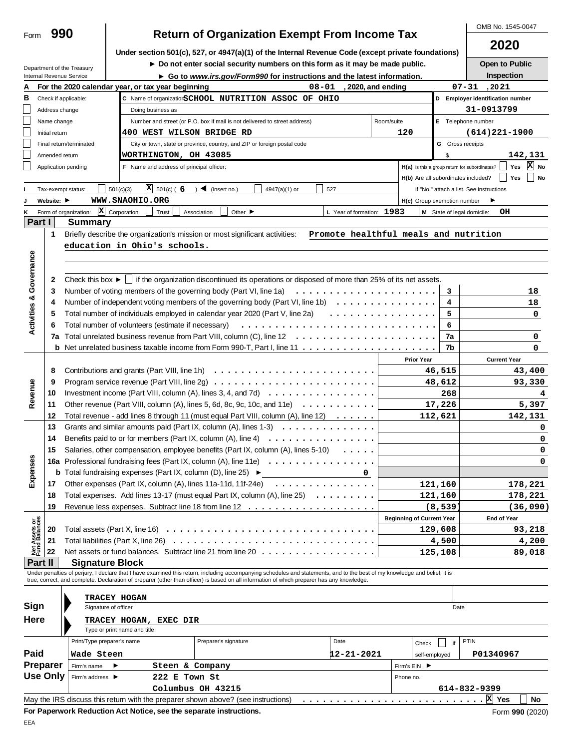| Form                           | 990             |                                                                                                                                              |                                                                                          | <b>Return of Organization Exempt From Income Tax</b>                                                                                                                       |                                       |                    |                                     |                         | OMB No. 1545-0047                                                                    |  |  |
|--------------------------------|-----------------|----------------------------------------------------------------------------------------------------------------------------------------------|------------------------------------------------------------------------------------------|----------------------------------------------------------------------------------------------------------------------------------------------------------------------------|---------------------------------------|--------------------|-------------------------------------|-------------------------|--------------------------------------------------------------------------------------|--|--|
|                                |                 |                                                                                                                                              |                                                                                          | Under section 501(c), 527, or 4947(a)(1) of the Internal Revenue Code (except private foundations)                                                                         |                                       |                    |                                     |                         | 2020                                                                                 |  |  |
|                                |                 |                                                                                                                                              |                                                                                          | Do not enter social security numbers on this form as it may be made public.                                                                                                |                                       |                    |                                     |                         | Open to Public                                                                       |  |  |
|                                |                 | Department of the Treasury<br>Internal Revenue Service                                                                                       |                                                                                          | ► Go to www.irs.gov/Form990 for instructions and the latest information.                                                                                                   |                                       |                    |                                     |                         | Inspection                                                                           |  |  |
| А                              |                 |                                                                                                                                              | For the 2020 calendar year, or tax year beginning                                        |                                                                                                                                                                            | $08 - 01$                             | , 2020, and ending |                                     |                         | $07 - 31$ , 2021                                                                     |  |  |
| в                              |                 | Check if applicable:                                                                                                                         |                                                                                          | C Name of organizationSCHOOL NUTRITION ASSOC OF OHIO                                                                                                                       |                                       |                    |                                     |                         | D Employer identification number                                                     |  |  |
|                                | Address change  |                                                                                                                                              | Doing business as                                                                        |                                                                                                                                                                            |                                       |                    |                                     |                         | 31-0913799                                                                           |  |  |
|                                | Name change     |                                                                                                                                              |                                                                                          | Number and street (or P.O. box if mail is not delivered to street address)                                                                                                 |                                       | Room/suite         |                                     |                         | E Telephone number                                                                   |  |  |
|                                | Initial return  |                                                                                                                                              | 400 WEST WILSON BRIDGE RD                                                                |                                                                                                                                                                            |                                       | 120                |                                     |                         | $(614)221 - 1900$                                                                    |  |  |
|                                |                 | Final return/terminated                                                                                                                      |                                                                                          | City or town, state or province, country, and ZIP or foreign postal code                                                                                                   |                                       |                    |                                     | <b>G</b> Gross receipts |                                                                                      |  |  |
|                                | Amended return  | Application pending                                                                                                                          | WORTHINGTON, OH 43085<br>F Name and address of principal officer:                        |                                                                                                                                                                            |                                       |                    |                                     | \$                      | 142,131<br>$\overline{X}$ No<br>H(a) Is this a group return for subordinates?<br>Yes |  |  |
|                                |                 |                                                                                                                                              |                                                                                          |                                                                                                                                                                            |                                       |                    | H(b) Are all subordinates included? |                         | Yes<br>$\vert$ No                                                                    |  |  |
|                                |                 | Tax-exempt status:                                                                                                                           | $\mathbf{X}$ 501(c) ( 6 ) < (insert no.)<br>501(c)(3)                                    | 4947(a)(1) or                                                                                                                                                              | 527                                   |                    |                                     |                         | If "No," attach a list. See instructions                                             |  |  |
|                                | Website: ▶      |                                                                                                                                              | WWW.SNAOHIO.ORG                                                                          |                                                                                                                                                                            |                                       |                    | H(c) Group exemption number         |                         |                                                                                      |  |  |
| ĸ                              |                 | Form of organization: $\boxed{\mathbf{X}}$ Corporation                                                                                       | Trust                                                                                    | Other $\blacktriangleright$<br>Association                                                                                                                                 | L Year of formation: 1983             |                    |                                     |                         | OH<br>M State of legal domicile:                                                     |  |  |
| Part I                         |                 | Summary                                                                                                                                      |                                                                                          |                                                                                                                                                                            |                                       |                    |                                     |                         |                                                                                      |  |  |
|                                | 1               |                                                                                                                                              |                                                                                          | Briefly describe the organization's mission or most significant activities:                                                                                                | Promote healthful meals and nutrition |                    |                                     |                         |                                                                                      |  |  |
|                                |                 |                                                                                                                                              | education in Ohio's schools.                                                             |                                                                                                                                                                            |                                       |                    |                                     |                         |                                                                                      |  |  |
|                                |                 |                                                                                                                                              |                                                                                          |                                                                                                                                                                            |                                       |                    |                                     |                         |                                                                                      |  |  |
| Activities & Governance        |                 |                                                                                                                                              |                                                                                          |                                                                                                                                                                            |                                       |                    |                                     |                         |                                                                                      |  |  |
|                                | 2               |                                                                                                                                              |                                                                                          | Check this box $\blacktriangleright$   if the organization discontinued its operations or disposed of more than 25% of its net assets.                                     |                                       |                    |                                     |                         |                                                                                      |  |  |
|                                | 3               |                                                                                                                                              |                                                                                          |                                                                                                                                                                            |                                       |                    |                                     | 3                       | 18                                                                                   |  |  |
|                                | 4               |                                                                                                                                              |                                                                                          | Number of independent voting members of the governing body (Part VI, line 1b) $\dots \dots \dots \dots \dots$                                                              |                                       |                    |                                     | 4                       | 18                                                                                   |  |  |
|                                | 5               |                                                                                                                                              |                                                                                          | Total number of individuals employed in calendar year 2020 (Part V, line 2a)                                                                                               |                                       |                    |                                     | 5                       | 0                                                                                    |  |  |
|                                | 6<br>7a         | 6<br>Total number of volunteers (estimate if necessary) $\ldots \ldots \ldots \ldots \ldots \ldots \ldots \ldots \ldots \ldots \ldots$<br>7a |                                                                                          |                                                                                                                                                                            |                                       |                    |                                     |                         |                                                                                      |  |  |
|                                |                 |                                                                                                                                              |                                                                                          | <b>b</b> Net unrelated business taxable income from Form 990-T, Part I, line 11 $\dots$ $\dots$ $\dots$ $\dots$ $\dots$ $\dots$ $\dots$                                    |                                       |                    |                                     | 7b                      | 0<br>0                                                                               |  |  |
|                                |                 |                                                                                                                                              |                                                                                          |                                                                                                                                                                            |                                       |                    | <b>Prior Year</b>                   |                         | <b>Current Year</b>                                                                  |  |  |
|                                | 8               |                                                                                                                                              |                                                                                          |                                                                                                                                                                            |                                       |                    |                                     | 46,515                  | 43,400                                                                               |  |  |
|                                | 9               |                                                                                                                                              |                                                                                          |                                                                                                                                                                            |                                       |                    |                                     | 48,612                  | 93,330                                                                               |  |  |
| Revenue                        | 10              | Investment income (Part VIII, column (A), lines 3, 4, and 7d) $\ldots \ldots \ldots \ldots \ldots \ldots$                                    |                                                                                          |                                                                                                                                                                            |                                       |                    |                                     |                         |                                                                                      |  |  |
|                                | 11              | Other revenue (Part VIII, column (A), lines 5, 6d, 8c, 9c, 10c, and 11e) $\ldots \ldots \ldots$                                              | 268<br>17,226                                                                            | 5,397                                                                                                                                                                      |                                       |                    |                                     |                         |                                                                                      |  |  |
|                                | 12              |                                                                                                                                              |                                                                                          | Total revenue - add lines 8 through 11 (must equal Part VIII, column (A), line 12)                                                                                         |                                       |                    | 112,621                             |                         | 142,131                                                                              |  |  |
|                                | 13              |                                                                                                                                              |                                                                                          | Grants and similar amounts paid (Part IX, column (A), lines $1-3$ ) $\ldots$ $\ldots$ $\ldots$ $\ldots$ $\ldots$                                                           |                                       |                    |                                     |                         | 0                                                                                    |  |  |
|                                | 14              |                                                                                                                                              |                                                                                          | Benefits paid to or for members (Part IX, column (A), line 4) $\ldots \ldots \ldots \ldots \ldots$                                                                         |                                       |                    |                                     |                         | 0                                                                                    |  |  |
|                                |                 |                                                                                                                                              |                                                                                          | Salaries, other compensation, employee benefits (Part IX, column (A), lines 5-10)                                                                                          |                                       |                    |                                     |                         | U                                                                                    |  |  |
|                                |                 |                                                                                                                                              |                                                                                          | 16a Professional fundraising fees (Part IX, column (A), line 11e)                                                                                                          |                                       |                    |                                     |                         | 0                                                                                    |  |  |
| Expenses                       |                 |                                                                                                                                              | <b>b</b> Total fundraising expenses (Part IX, column (D), line 25) $\blacktriangleright$ |                                                                                                                                                                            | $\mathbf 0$                           |                    |                                     |                         |                                                                                      |  |  |
|                                | 17              |                                                                                                                                              |                                                                                          | Other expenses (Part IX, column (A), lines 11a-11d, 11f-24e) $\ldots \ldots \ldots \ldots \ldots$                                                                          |                                       |                    | 121,160                             |                         | 178,221                                                                              |  |  |
|                                | 18              |                                                                                                                                              |                                                                                          | Total expenses. Add lines 13-17 (must equal Part IX, column (A), line 25)                                                                                                  |                                       |                    | 121,160                             |                         | 178,221                                                                              |  |  |
|                                | 19              |                                                                                                                                              |                                                                                          |                                                                                                                                                                            |                                       |                    |                                     | (8, 539)                | (36,090)                                                                             |  |  |
| Net Assets or<br>Fund Balances |                 |                                                                                                                                              |                                                                                          |                                                                                                                                                                            |                                       |                    | <b>Beginning of Current Year</b>    |                         | End of Year                                                                          |  |  |
|                                | 20              |                                                                                                                                              |                                                                                          |                                                                                                                                                                            |                                       |                    | 129,608                             |                         | 93,218                                                                               |  |  |
|                                | 21<br>22        |                                                                                                                                              | Total liabilities (Part X, line 26)                                                      | Net assets or fund balances. Subtract line 21 from line 20                                                                                                                 |                                       |                    |                                     | 4,500                   | 4,200                                                                                |  |  |
| Part II                        |                 |                                                                                                                                              | <b>Signature Block</b>                                                                   |                                                                                                                                                                            |                                       |                    | 125,108                             |                         | 89,018                                                                               |  |  |
|                                |                 |                                                                                                                                              |                                                                                          | Under penalties of perjury, I declare that I have examined this return, including accompanying schedules and statements, and to the best of my knowledge and belief, it is |                                       |                    |                                     |                         |                                                                                      |  |  |
|                                |                 |                                                                                                                                              |                                                                                          | true, correct, and complete. Declaration of preparer (other than officer) is based on all information of which preparer has any knowledge.                                 |                                       |                    |                                     |                         |                                                                                      |  |  |
|                                |                 |                                                                                                                                              | <b>TRACEY HOGAN</b>                                                                      |                                                                                                                                                                            |                                       |                    |                                     |                         |                                                                                      |  |  |
| Sign                           |                 |                                                                                                                                              | Signature of officer                                                                     |                                                                                                                                                                            |                                       |                    |                                     | Date                    |                                                                                      |  |  |
| Here                           |                 |                                                                                                                                              | <b>TRACEY HOGAN, EXEC DIR</b>                                                            |                                                                                                                                                                            |                                       |                    |                                     |                         |                                                                                      |  |  |
|                                |                 |                                                                                                                                              | Type or print name and title                                                             |                                                                                                                                                                            |                                       |                    |                                     |                         |                                                                                      |  |  |
|                                |                 | Print/Type preparer's name                                                                                                                   |                                                                                          | Preparer's signature                                                                                                                                                       | Date                                  |                    | Check                               | if                      | <b>PTIN</b>                                                                          |  |  |
| Paid                           |                 | Wade Steen                                                                                                                                   |                                                                                          |                                                                                                                                                                            | 12-21-2021                            |                    | self-employed                       |                         | P01340967                                                                            |  |  |
|                                | Preparer        | Firm's name                                                                                                                                  | Steen & Company                                                                          |                                                                                                                                                                            |                                       | Firm's EIN ▶       |                                     |                         |                                                                                      |  |  |
|                                | <b>Use Only</b> | Firm's address ▶                                                                                                                             | 222 E Town St<br>Phone no.                                                               |                                                                                                                                                                            |                                       |                    |                                     |                         |                                                                                      |  |  |
|                                |                 |                                                                                                                                              |                                                                                          | Columbus OH 43215                                                                                                                                                          |                                       |                    |                                     |                         | 614-832-9399                                                                         |  |  |
|                                |                 |                                                                                                                                              |                                                                                          | May the IRS discuss this retum with the preparer shown above? (see instructions)                                                                                           |                                       |                    |                                     |                         | X Yes<br>No                                                                          |  |  |
|                                |                 |                                                                                                                                              | For Paperwork Reduction Act Notice, see the separate instructions.                       |                                                                                                                                                                            |                                       |                    |                                     |                         | Form 990 (2020)                                                                      |  |  |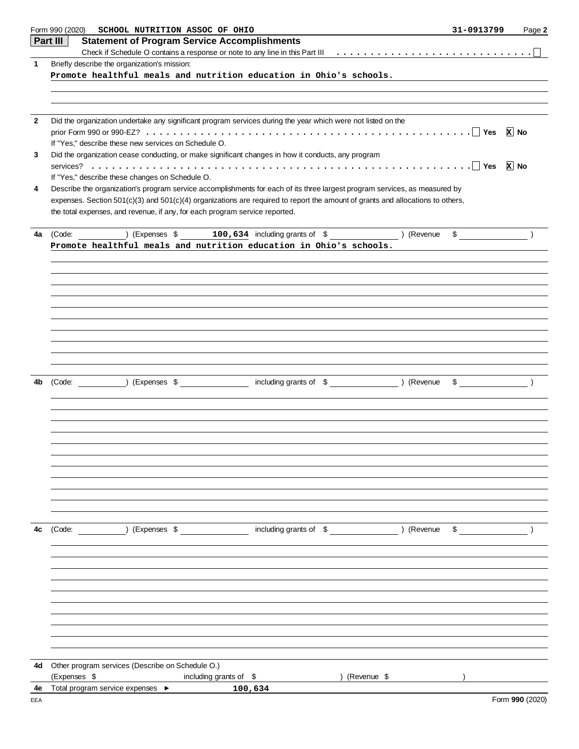|              | Form 990 (2020) SCHOOL NUTRITION ASSOC OF OHIO                                                                                                                                                                | 31-0913799                                | Page 2            |
|--------------|---------------------------------------------------------------------------------------------------------------------------------------------------------------------------------------------------------------|-------------------------------------------|-------------------|
|              | Part III<br><b>Statement of Program Service Accomplishments</b>                                                                                                                                               |                                           |                   |
|              |                                                                                                                                                                                                               |                                           |                   |
| $\mathbf{1}$ | Briefly describe the organization's mission:                                                                                                                                                                  |                                           |                   |
|              | Promote healthful meals and nutrition education in Ohio's schools.                                                                                                                                            |                                           |                   |
|              |                                                                                                                                                                                                               |                                           |                   |
|              |                                                                                                                                                                                                               |                                           |                   |
| $\mathbf{2}$ | Did the organization undertake any significant program services during the year which were not listed on the                                                                                                  |                                           |                   |
|              |                                                                                                                                                                                                               |                                           | $\overline{x}$ No |
|              | If "Yes," describe these new services on Schedule O.                                                                                                                                                          |                                           |                   |
| 3            | Did the organization cease conducting, or make significant changes in how it conducts, any program                                                                                                            |                                           |                   |
|              |                                                                                                                                                                                                               |                                           |                   |
|              | If "Yes," describe these changes on Schedule O.                                                                                                                                                               |                                           |                   |
| 4            | Describe the organization's program service accomplishments for each of its three largest program services, as measured by                                                                                    |                                           |                   |
|              | expenses. Section 501(c)(3) and 501(c)(4) organizations are required to report the amount of grants and allocations to others,<br>the total expenses, and revenue, if any, for each program service reported. |                                           |                   |
|              |                                                                                                                                                                                                               |                                           |                   |
| 4a           | $(100, 634)$ including grants of $\frac{1}{2}$ (Revenue<br>(Code:                                                                                                                                             | $\sim$                                    |                   |
|              | Promote healthful meals and nutrition education in Ohio's schools.                                                                                                                                            |                                           |                   |
|              |                                                                                                                                                                                                               |                                           |                   |
|              |                                                                                                                                                                                                               |                                           |                   |
|              |                                                                                                                                                                                                               |                                           |                   |
|              |                                                                                                                                                                                                               |                                           |                   |
|              |                                                                                                                                                                                                               |                                           |                   |
|              |                                                                                                                                                                                                               |                                           |                   |
|              |                                                                                                                                                                                                               |                                           |                   |
|              |                                                                                                                                                                                                               |                                           |                   |
|              |                                                                                                                                                                                                               |                                           |                   |
|              |                                                                                                                                                                                                               |                                           |                   |
| 4b           |                                                                                                                                                                                                               | $\sim$ $\sim$ $\sim$ $\sim$ $\sim$ $\sim$ |                   |
|              |                                                                                                                                                                                                               |                                           |                   |
|              |                                                                                                                                                                                                               |                                           |                   |
|              |                                                                                                                                                                                                               |                                           |                   |
|              |                                                                                                                                                                                                               |                                           |                   |
|              |                                                                                                                                                                                                               |                                           |                   |
|              |                                                                                                                                                                                                               |                                           |                   |
|              |                                                                                                                                                                                                               |                                           |                   |
|              |                                                                                                                                                                                                               |                                           |                   |
|              |                                                                                                                                                                                                               |                                           |                   |
|              |                                                                                                                                                                                                               |                                           |                   |
|              |                                                                                                                                                                                                               |                                           |                   |
| 4c           | including grants of \$<br>) (Expenses \$<br>) (Revenue<br>(Code:                                                                                                                                              | \$                                        |                   |
|              |                                                                                                                                                                                                               |                                           |                   |
|              |                                                                                                                                                                                                               |                                           |                   |
|              |                                                                                                                                                                                                               |                                           |                   |
|              |                                                                                                                                                                                                               |                                           |                   |
|              |                                                                                                                                                                                                               |                                           |                   |
|              |                                                                                                                                                                                                               |                                           |                   |
|              |                                                                                                                                                                                                               |                                           |                   |
|              |                                                                                                                                                                                                               |                                           |                   |
|              |                                                                                                                                                                                                               |                                           |                   |
|              |                                                                                                                                                                                                               |                                           |                   |
| 4d           | Other program services (Describe on Schedule O.)                                                                                                                                                              |                                           |                   |
|              | (Expenses \$<br>including grants of \$<br>) (Revenue \$                                                                                                                                                       |                                           |                   |
| 4e<br>EEA    | Total program service expenses ▶<br>100,634                                                                                                                                                                   |                                           | Form 990 (2020)   |
|              |                                                                                                                                                                                                               |                                           |                   |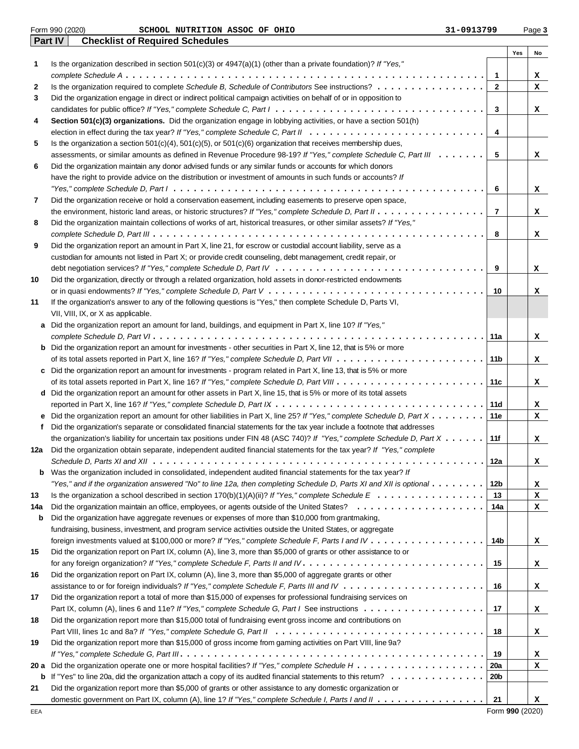|      | <b>Checklist of Required Schedules</b><br><b>Part IV</b>                                                                                           |                |     |    |
|------|----------------------------------------------------------------------------------------------------------------------------------------------------|----------------|-----|----|
|      |                                                                                                                                                    |                | Yes | No |
| 1    | Is the organization described in section $501(c)(3)$ or $4947(a)(1)$ (other than a private foundation)? If "Yes,"                                  |                |     |    |
|      |                                                                                                                                                    | $\mathbf{1}$   |     | x  |
| 2    | Is the organization required to complete Schedule B, Schedule of Contributors See instructions?                                                    | $\mathbf{2}$   |     | x  |
| 3    | Did the organization engage in direct or indirect political campaign activities on behalf of or in opposition to                                   |                |     |    |
|      |                                                                                                                                                    | 3              |     | x  |
| 4    | Section 501(c)(3) organizations. Did the organization engage in lobbying activities, or have a section 501(h)                                      |                |     |    |
|      |                                                                                                                                                    | 4              |     |    |
| 5    | Is the organization a section $501(c)(4)$ , $501(c)(5)$ , or $501(c)(6)$ organization that receives membership dues,                               |                |     |    |
|      | assessments, or similar amounts as defined in Revenue Procedure 98-19? If "Yes," complete Schedule C, Part III                                     | 5              |     | x  |
| 6    | Did the organization maintain any donor advised funds or any similar funds or accounts for which donors                                            |                |     |    |
|      | have the right to provide advice on the distribution or investment of amounts in such funds or accounts? If                                        |                |     |    |
|      |                                                                                                                                                    | 6              |     | x  |
| 7    | Did the organization receive or hold a conservation easement, including easements to preserve open space,                                          |                |     |    |
|      | the environment, historic land areas, or historic structures? If "Yes," complete Schedule D, Part II                                               | $\overline{7}$ |     | x  |
| 8    | Did the organization maintain collections of works of art, historical treasures, or other similar assets? If "Yes,"                                |                |     |    |
|      |                                                                                                                                                    | 8              |     | x  |
| 9    | Did the organization report an amount in Part X, line 21, for escrow or custodial account liability, serve as a                                    |                |     |    |
|      | custodian for amounts not listed in Part X; or provide credit counseling, debt management, credit repair, or                                       |                |     |    |
|      |                                                                                                                                                    | 9              |     | x  |
| 10   | Did the organization, directly or through a related organization, hold assets in donor-restricted endowments                                       |                |     |    |
|      |                                                                                                                                                    | 10             |     | x  |
| 11   | If the organization's answer to any of the following questions is "Yes," then complete Schedule D, Parts VI,<br>VII, VIII, IX, or X as applicable. |                |     |    |
| а    | Did the organization report an amount for land, buildings, and equipment in Part X, line 10? If "Yes,"                                             |                |     |    |
|      |                                                                                                                                                    | 11a            |     | x  |
| b    | Did the organization report an amount for investments - other securities in Part X, line 12, that is 5% or more                                    |                |     |    |
|      |                                                                                                                                                    | 11b            |     | x  |
| c    | Did the organization report an amount for investments - program related in Part X, line 13, that is 5% or more                                     |                |     |    |
|      |                                                                                                                                                    | 11c            |     | x  |
| d    | Did the organization report an amount for other assets in Part X, line 15, that is 5% or more of its total assets                                  |                |     |    |
|      |                                                                                                                                                    | 11d            |     | x  |
| е    | Did the organization report an amount for other liabilities in Part X, line 25? If "Yes," complete Schedule D, Part X                              | 11e            |     | x  |
| f    | Did the organization's separate or consolidated financial statements for the tax year include a footnote that addresses                            |                |     |    |
|      | the organization's liability for uncertain tax positions under FIN 48 (ASC 740)? If "Yes," complete Schedule D, Part $X \dots \dots$               | 11f            |     | x  |
| 12a  | Did the organization obtain separate, independent audited financial statements for the tax year? If "Yes," complete                                |                |     |    |
|      |                                                                                                                                                    | 12a            |     | х  |
| b    | Was the organization included in consolidated, independent audited financial statements for the tax year? If                                       |                |     |    |
|      | "Yes," and if the organization answered "No" to line 12a, then completing Schedule D, Parts XI and XII is optional                                 | 12b            |     | x  |
| 13   |                                                                                                                                                    | 13             |     | x  |
| 14a  |                                                                                                                                                    | 14a            |     | x  |
| b    | Did the organization have aggregate revenues or expenses of more than \$10,000 from grantmaking,                                                   |                |     |    |
|      | fundraising, business, investment, and program service activities outside the United States, or aggregate                                          |                |     |    |
|      |                                                                                                                                                    | 14b            |     | x  |
| 15   | Did the organization report on Part IX, column (A), line 3, more than \$5,000 of grants or other assistance to or                                  |                |     |    |
|      |                                                                                                                                                    | 15             |     | x  |
| 16   | Did the organization report on Part IX, column (A), line 3, more than \$5,000 of aggregate grants or other                                         |                |     |    |
|      |                                                                                                                                                    | 16             |     | x  |
| 17   | Did the organization report a total of more than \$15,000 of expenses for professional fundraising services on                                     |                |     |    |
|      |                                                                                                                                                    | 17             |     | x  |
| 18   | Did the organization report more than \$15,000 total of fundraising event gross income and contributions on                                        |                |     |    |
|      |                                                                                                                                                    | 18             |     | x  |
| 19   | Did the organization report more than \$15,000 of gross income from gaming activities on Part VIII, line 9a?                                       |                |     |    |
|      |                                                                                                                                                    | 19             |     | x  |
| 20 a |                                                                                                                                                    | 20a            |     | x  |
| b    | If "Yes" to line 20a, did the organization attach a copy of its audited financial statements to this retum? $\ldots \ldots \ldots \ldots$          | 20b            |     |    |
| 21   | Did the organization report more than \$5,000 of grants or other assistance to any domestic organization or                                        |                |     |    |
|      |                                                                                                                                                    | 21             |     | x  |

Form **990** (2020)

### Form 990 (2020) Page **3 SCHOOL NUTRITION ASSOC OF OHIO 31-0913799**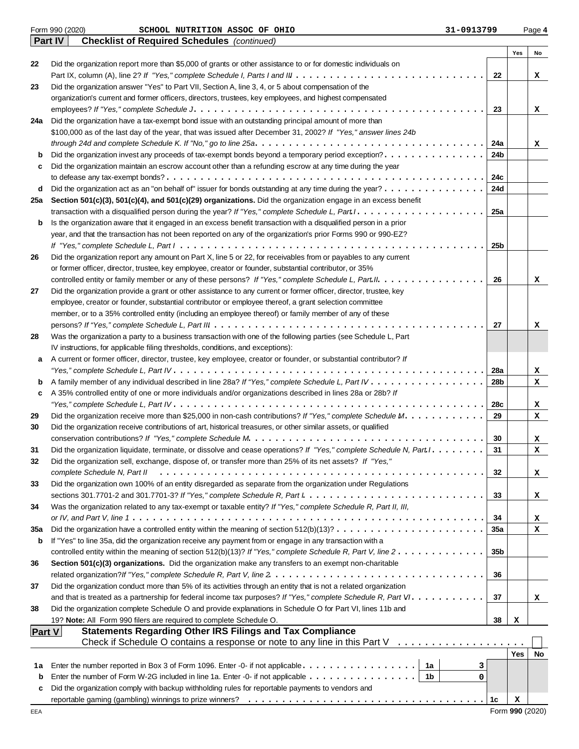|               | Form 990 (2020)<br>31-0913799<br>SCHOOL NUTRITION ASSOC OF OHIO                                                                            |                 |            | Page 4 |
|---------------|--------------------------------------------------------------------------------------------------------------------------------------------|-----------------|------------|--------|
|               | Part IV<br><b>Checklist of Required Schedules</b> (continued)                                                                              |                 |            |        |
|               |                                                                                                                                            |                 | Yes        | No     |
| 22            | Did the organization report more than \$5,000 of grants or other assistance to or for domestic individuals on                              |                 |            |        |
|               |                                                                                                                                            | 22              |            | x      |
| 23            | Did the organization answer "Yes" to Part VII, Section A, line 3, 4, or 5 about compensation of the                                        |                 |            |        |
|               | organization's current and former officers, directors, trustees, key employees, and highest compensated                                    | 23              |            |        |
| 24a           | Did the organization have a tax-exempt bond issue with an outstanding principal amount of more than                                        |                 |            | x      |
|               | \$100,000 as of the last day of the year, that was issued after December 31, 2002? If "Yes," answer lines 24b                              |                 |            |        |
|               |                                                                                                                                            | 24a             |            | x      |
| b             | Did the organization invest any proceeds of tax-exempt bonds beyond a temporary period exception?.                                         | 24b             |            |        |
| c             | Did the organization maintain an escrow account other than a refunding escrow at any time during the year                                  |                 |            |        |
|               |                                                                                                                                            | 24c             |            |        |
| d             | Did the organization act as an "on behalf of" issuer for bonds outstanding at any time during the year?                                    | 24d             |            |        |
| 25a           | Section 501(c)(3), 501(c)(4), and 501(c)(29) organizations. Did the organization engage in an excess benefit                               |                 |            |        |
|               |                                                                                                                                            | 25a             |            |        |
| b             | Is the organization aware that it engaged in an excess benefit transaction with a disqualified person in a prior                           |                 |            |        |
|               | year, and that the transaction has not been reported on any of the organization's prior Forms 990 or 990-EZ?                               |                 |            |        |
|               |                                                                                                                                            | 25b             |            |        |
| 26            | Did the organization report any amount on Part X, line 5 or 22, for receivables from or payables to any current                            |                 |            |        |
|               | or former officer, director, trustee, key employee, creator or founder, substantial contributor, or 35%                                    |                 |            |        |
|               | controlled entity or family member or any of these persons? If "Yes," complete Schedule L, Part II.                                        | 26              |            | x      |
| 27            | Did the organization provide a grant or other assistance to any current or former officer, director, trustee, key                          |                 |            |        |
|               | employee, creator or founder, substantial contributor or employee thereof, a grant selection committee                                     |                 |            |        |
|               | member, or to a 35% controlled entity (including an employee thereof) or family member of any of these                                     |                 |            |        |
|               |                                                                                                                                            | 27              |            | x      |
| 28            | Was the organization a party to a business transaction with one of the following parties (see Schedule L, Part                             |                 |            |        |
|               | IV instructions, for applicable filing thresholds, conditions, and exceptions):                                                            |                 |            |        |
| a             | A current or former officer, director, trustee, key employee, creator or founder, or substantial contributor? If                           |                 |            |        |
|               |                                                                                                                                            | 28a             |            | x      |
| b             |                                                                                                                                            | 28b             |            | x      |
| c             | A 35% controlled entity of one or more individuals and/or organizations described in lines 28a or 28b? If                                  |                 |            |        |
|               |                                                                                                                                            | 28c             |            | x      |
| 29            | Did the organization receive more than \$25,000 in non-cash contributions? If "Yes," complete Schedule M.                                  | 29              |            | x      |
| 30            | Did the organization receive contributions of art, historical treasures, or other similar assets, or qualified                             |                 |            |        |
|               |                                                                                                                                            | 30<br>31        |            | x      |
| 31            | Did the organization liquidate, terminate, or dissolve and cease operations? If "Yes," complete Schedule N, Part I. .                      |                 |            | x      |
| 32            | Did the organization sell, exchange, dispose of, or transfer more than 25% of its net assets? If "Yes,"<br>complete Schedule N, Part II    | 32              |            |        |
| 33            | Did the organization own 100% of an entity disregarded as separate from the organization under Regulations                                 |                 |            | x      |
|               |                                                                                                                                            | 33              |            | x      |
| 34            | Was the organization related to any tax-exempt or taxable entity? If "Yes," complete Schedule R, Part II, III,                             |                 |            |        |
|               |                                                                                                                                            | 34              |            | x      |
| 35a           | Did the organization have a controlled entity within the meaning of section $512(b)(13)? \ldots \ldots \ldots \ldots \ldots \ldots \ldots$ | 35a             |            | x      |
| b             | If "Yes" to line 35a, did the organization receive any payment from or engage in any transaction with a                                    |                 |            |        |
|               | controlled entity within the meaning of section 512(b)(13)? If "Yes," complete Schedule R, Part V, line $2 \ldots \ldots \ldots \ldots$    | 35 <sub>b</sub> |            |        |
| 36            | Section 501(c)(3) organizations. Did the organization make any transfers to an exempt non-charitable                                       |                 |            |        |
|               |                                                                                                                                            | 36              |            |        |
| 37            | Did the organization conduct more than 5% of its activities through an entity that is not a related organization                           |                 |            |        |
|               |                                                                                                                                            | 37              |            | x      |
| 38            | Did the organization complete Schedule O and provide explanations in Schedule O for Part VI, lines 11b and                                 |                 |            |        |
|               | 19? Note: All Form 990 filers are required to complete Schedule O.                                                                         | 38              | х          |        |
| <b>Part V</b> | <b>Statements Regarding Other IRS Filings and Tax Compliance</b>                                                                           |                 |            |        |
|               | Check if Schedule O contains a response or note to any line in this Part V $\ldots \ldots \ldots \ldots \ldots$                            |                 |            |        |
|               |                                                                                                                                            |                 | <b>Yes</b> | No     |
| 1а            | 1a<br>Enter the number reported in Box 3 of Form 1096. Enter -0- if not applicable<br>3                                                    |                 |            |        |
| b             | Enter the number of Form W-2G included in line 1a. Enter -0- if not applicable<br>1b<br>0                                                  |                 |            |        |
| c             | Did the organization comply with backup withholding rules for reportable payments to vendors and                                           |                 |            |        |
|               |                                                                                                                                            | 1c              | x          |        |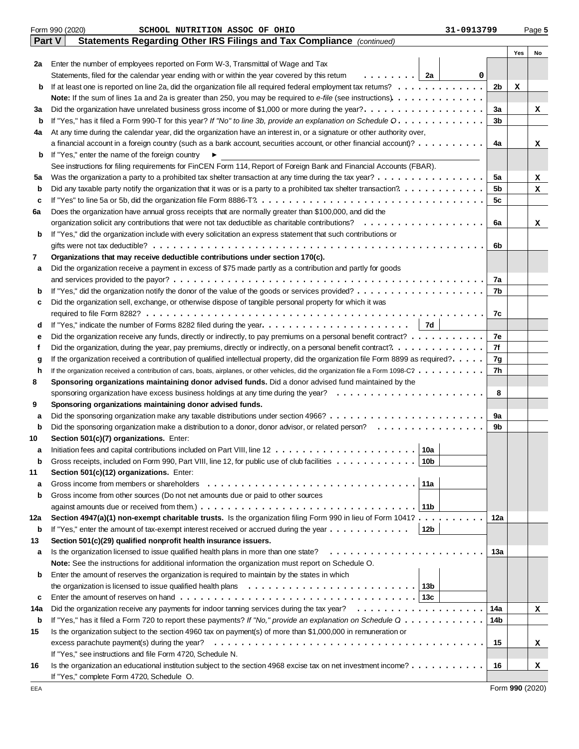|             | Form 990 (2020)<br>SCHOOL NUTRITION ASSOC OF OHIO                                                                                        | 31-0913799 |     |     | Page 5 |
|-------------|------------------------------------------------------------------------------------------------------------------------------------------|------------|-----|-----|--------|
| Part V      | Statements Regarding Other IRS Filings and Tax Compliance (continued)                                                                    |            |     |     |        |
|             |                                                                                                                                          |            |     | Yes | No     |
| 2a          | Enter the number of employees reported on Form W-3, Transmittal of Wage and Tax                                                          |            |     |     |        |
|             | Statements, filed for the calendar year ending with or within the year covered by this retum<br>.   2a                                   | 0          |     |     |        |
| b           | If at least one is reported on line 2a, did the organization file all required federal employment tax returns?                           |            | 2b  | x   |        |
|             | Note: If the sum of lines 1a and 2a is greater than 250, you may be required to e-file (see instructions).                               |            |     |     |        |
| За          | Did the organization have unrelated business gross income of \$1,000 or more during the year?.                                           |            | За  |     | x      |
| b           | If "Yes," has it filed a Form 990-T for this year? If "No" to line 3b, provide an explanation on Schedule O.                             |            | 3b  |     |        |
| 4a          | At any time during the calendar year, did the organization have an interest in, or a signature or other authority over,                  |            |     |     |        |
|             | a financial account in a foreign country (such as a bank account, securities account, or other financial account)?                       |            | 4a  |     | x      |
| b           | If "Yes," enter the name of the foreign country                                                                                          |            |     |     |        |
|             | See instructions for filing requirements for FinCEN Form 114, Report of Foreign Bank and Financial Accounts (FBAR).                      |            |     |     |        |
| 5a          | Was the organization a party to a prohibited tax shelter transaction at any time during the tax year?                                    |            | 5a  |     | x      |
| b           |                                                                                                                                          |            | 5b  |     | x      |
| c           |                                                                                                                                          |            | 5с  |     |        |
| 6a          | Does the organization have annual gross receipts that are normally greater than \$100,000, and did the                                   |            |     |     |        |
|             |                                                                                                                                          |            | 6a  |     | x      |
| b           | If "Yes," did the organization include with every solicitation an express statement that such contributions or                           |            | 6b  |     |        |
|             | Organizations that may receive deductible contributions under section 170(c).                                                            |            |     |     |        |
| 7           | Did the organization receive a payment in excess of \$75 made partly as a contribution and partly for goods                              |            |     |     |        |
| а           |                                                                                                                                          |            | 7a  |     |        |
| b           |                                                                                                                                          |            | 7b  |     |        |
| c           | Did the organization sell, exchange, or otherwise dispose of tangible personal property for which it was                                 |            |     |     |        |
|             |                                                                                                                                          |            | 7c  |     |        |
| d           | 7d                                                                                                                                       |            |     |     |        |
| е           | Did the organization receive any funds, directly or indirectly, to pay premiums on a personal benefit contract?                          |            | 7e  |     |        |
| f           |                                                                                                                                          |            | 7f  |     |        |
| g           | If the organization received a contribution of qualified intellectual property, did the organization file Form 8899 as required?.        |            | 7g  |     |        |
| h           | If the organization received a contribution of cars, boats, airplanes, or other vehicles, did the organization file a Form 1098-C?       |            | 7h  |     |        |
| 8           | Sponsoring organizations maintaining donor advised funds. Did a donor advised fund maintained by the                                     |            |     |     |        |
|             |                                                                                                                                          |            | 8   |     |        |
| 9           | Sponsoring organizations maintaining donor advised funds.                                                                                |            |     |     |        |
| а           |                                                                                                                                          |            | 9a  |     |        |
| $\mathbf b$ | Did the sponsoring organization make a distribution to a donor, donor advisor, or related person?                                        |            | 9b  |     |        |
| 10          | Section 501(c)(7) organizations. Enter:                                                                                                  |            |     |     |        |
|             | 10a<br>Initiation fees and capital contributions included on Part VIII, line 12                                                          |            |     |     |        |
| b           | Gross receipts, included on Form 990, Part VIII, line 12, for public use of club facilities<br>10b                                       |            |     |     |        |
| 11          | Section 501(c)(12) organizations. Enter:                                                                                                 |            |     |     |        |
| а           | Gross income from members or shareholders<br>11a                                                                                         |            |     |     |        |
| b           | Gross income from other sources (Do not net amounts due or paid to other sources                                                         |            |     |     |        |
|             | against amounts due or received from them.) $\ldots \ldots \ldots \ldots \ldots \ldots \ldots \ldots \ldots \ldots \ldots \ldots$<br>11b |            |     |     |        |
| 12a         | Section 4947(a)(1) non-exempt charitable trusts. Is the organization filing Form 990 in lieu of Form 1041?                               |            | 12a |     |        |
| b           | 12 <sub>b</sub><br>If "Yes," enter the amount of tax-exempt interest received or accrued during the year $\dots \dots \dots \dots$       |            |     |     |        |
| 13          | Section 501(c)(29) qualified nonprofit health insurance issuers.                                                                         |            |     |     |        |
| а           | Is the organization licensed to issue qualified health plans in more than one state?                                                     |            | 13а |     |        |
|             | <b>Note:</b> See the instructions for additional information the organization must report on Schedule O.                                 |            |     |     |        |
| b           | Enter the amount of reserves the organization is required to maintain by the states in which                                             |            |     |     |        |
|             | 13b                                                                                                                                      |            |     |     |        |
| c           | Enter the amount of reserves on hand $\ldots \ldots \ldots \ldots \ldots \ldots \ldots \ldots \ldots \ldots \ldots \ldots$               |            |     |     |        |
| 14a         |                                                                                                                                          |            | 14a |     | x      |
| b           | If "Yes," has it filed a Form 720 to report these payments? If "No," provide an explanation on Schedule Q                                |            | 14b |     |        |
| 15          | Is the organization subject to the section 4960 tax on payment(s) of more than \$1,000,000 in remuneration or                            |            |     |     |        |
|             | excess parachute payment(s) during the year?                                                                                             |            | 15  |     | x      |
|             | If "Yes," see instructions and file Form 4720, Schedule N.                                                                               |            |     |     |        |
| 16          | Is the organization an educational institution subject to the section 4968 excise tax on net investment income?                          |            | 16  |     | x      |
|             | If "Yes," complete Form 4720, Schedule O.                                                                                                |            |     |     |        |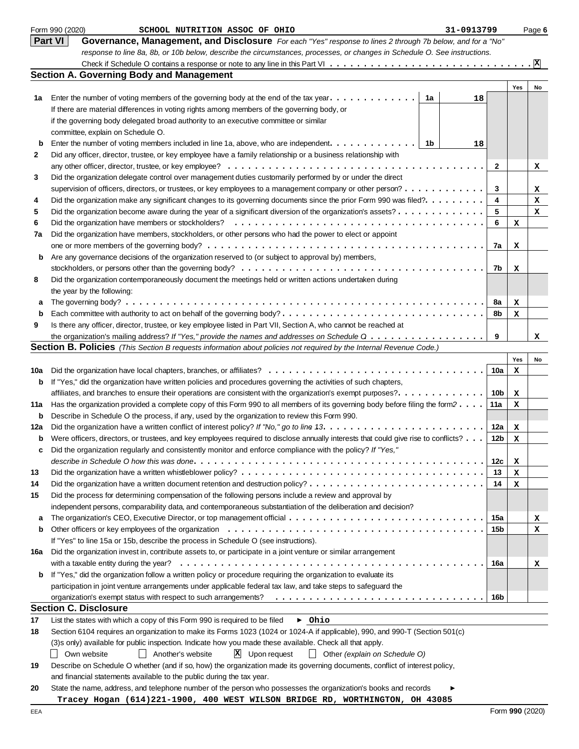|              | Form 990 (2020)<br>31-0913799<br>SCHOOL NUTRITION ASSOC OF OHIO                                                                                                                                                         |            |        | Page 6          |
|--------------|-------------------------------------------------------------------------------------------------------------------------------------------------------------------------------------------------------------------------|------------|--------|-----------------|
|              | <b>Part VI</b><br>Governance, Management, and Disclosure For each "Yes" response to lines 2 through 7b below, and for a "No"                                                                                            |            |        |                 |
|              | response to line 8a, 8b, or 10b below, describe the circumstances, processes, or changes in Schedule O. See instructions.                                                                                               |            |        |                 |
|              |                                                                                                                                                                                                                         |            |        | $\vert x \vert$ |
|              | <b>Section A. Governing Body and Management</b>                                                                                                                                                                         |            |        |                 |
|              |                                                                                                                                                                                                                         |            | Yes    | No              |
| 1a           | Enter the number of voting members of the governing body at the end of the tax year. $\dots \dots \dots \dots$<br>1a<br>18                                                                                              |            |        |                 |
|              | If there are material differences in voting rights among members of the governing body, or                                                                                                                              |            |        |                 |
|              | if the governing body delegated broad authority to an executive committee or similar                                                                                                                                    |            |        |                 |
|              | committee, explain on Schedule O.                                                                                                                                                                                       |            |        |                 |
| b            | Enter the number of voting members included in line 1a, above, who are independent. $\dots \dots \dots \dots$<br>- 1b<br>18                                                                                             |            |        |                 |
| $\mathbf{2}$ | Did any officer, director, trustee, or key employee have a family relationship or a business relationship with                                                                                                          |            |        |                 |
|              |                                                                                                                                                                                                                         | 2          |        | x               |
| 3            | Did the organization delegate control over management duties customarily performed by or under the direct                                                                                                               |            |        |                 |
|              | supervision of officers, directors, or trustees, or key employees to a management company or other person?                                                                                                              | 3          |        | x               |
| 4            | Did the organization make any significant changes to its governing documents since the prior Form 990 was filed?.                                                                                                       | 4          |        | x               |
| 5            | Did the organization become aware during the year of a significant diversion of the organization's assets?                                                                                                              | 5          |        | x               |
| 6            |                                                                                                                                                                                                                         | 6          | х      |                 |
| 7a           | Did the organization have members, stockholders, or other persons who had the power to elect or appoint                                                                                                                 |            |        |                 |
|              |                                                                                                                                                                                                                         | 7a         | x      |                 |
| b            | Are any governance decisions of the organization reserved to (or subject to approval by) members,                                                                                                                       |            |        |                 |
|              |                                                                                                                                                                                                                         | 7b         | x      |                 |
| 8            | Did the organization contemporaneously document the meetings held or written actions undertaken during                                                                                                                  |            |        |                 |
|              | the year by the following:                                                                                                                                                                                              |            |        |                 |
| а            |                                                                                                                                                                                                                         | 8a         | x      |                 |
| b            |                                                                                                                                                                                                                         | 8b         | x      |                 |
| 9            | Is there any officer, director, trustee, or key employee listed in Part VII, Section A, who cannot be reached at                                                                                                        |            |        |                 |
|              | the organization's mailing address? If "Yes," provide the names and addresses on Schedule Q                                                                                                                             | 9          |        | x               |
|              | <b>Section B. Policies</b> (This Section B requests information about policies not required by the Internal Revenue Code.)                                                                                              |            |        |                 |
|              |                                                                                                                                                                                                                         |            | Yes    | No              |
| 10a          |                                                                                                                                                                                                                         | 10a        | x      |                 |
| b            | If "Yes," did the organization have written policies and procedures governing the activities of such chapters,                                                                                                          |            |        |                 |
|              | affiliates, and branches to ensure their operations are consistent with the organization's exempt purposes?.                                                                                                            | 10b        | x      |                 |
| 11a          | Has the organization provided a complete copy of this Form 990 to all members of its governing body before filing the form?                                                                                             | 11a        | x      |                 |
| b            | Describe in Schedule O the process, if any, used by the organization to review this Form 990.                                                                                                                           |            |        |                 |
| 12a          |                                                                                                                                                                                                                         | 12a        |        |                 |
| b            | Were officers, directors, or trustees, and key employees required to disclose annually interests that could give rise to conflicts?                                                                                     | 12b        | x<br>x |                 |
|              | Did the organization regularly and consistently monitor and enforce compliance with the policy? If "Yes,"                                                                                                               |            |        |                 |
|              |                                                                                                                                                                                                                         | 12c        |        |                 |
| 13           |                                                                                                                                                                                                                         | 13         | х      |                 |
|              |                                                                                                                                                                                                                         | 14         | х      |                 |
| 14           |                                                                                                                                                                                                                         |            | x      |                 |
| 15           | Did the process for determining compensation of the following persons include a review and approval by<br>independent persons, comparability data, and contemporaneous substantiation of the deliberation and decision? |            |        |                 |
|              |                                                                                                                                                                                                                         |            |        |                 |
| а<br>b       |                                                                                                                                                                                                                         | 15a<br>15b |        | x               |
|              |                                                                                                                                                                                                                         |            |        | x               |
|              | If "Yes" to line 15a or 15b, describe the process in Schedule O (see instructions).                                                                                                                                     |            |        |                 |
| 16a          | Did the organization invest in, contribute assets to, or participate in a joint venture or similar arrangement                                                                                                          |            |        |                 |
|              |                                                                                                                                                                                                                         | 16a        |        | x               |
| b            | If "Yes," did the organization follow a written policy or procedure requiring the organization to evaluate its                                                                                                          |            |        |                 |
|              | participation in joint venture arrangements under applicable federal tax law, and take steps to safeguard the                                                                                                           |            |        |                 |
|              |                                                                                                                                                                                                                         | 16b        |        |                 |
|              | <b>Section C. Disclosure</b>                                                                                                                                                                                            |            |        |                 |
| 17           | List the states with which a copy of this Form 990 is required to be filed<br>$\triangleright$ Ohio                                                                                                                     |            |        |                 |
| 18           | Section 6104 requires an organization to make its Forms 1023 (1024 or 1024-A if applicable), 990, and 990-T (Section 501(c)                                                                                             |            |        |                 |
|              | (3)s only) available for public inspection. Indicate how you made these available. Check all that apply.                                                                                                                |            |        |                 |
|              | $\mathbf{X}$ Upon request<br>Own website<br>    Another's website<br>    Other (explain on Schedule O)                                                                                                                  |            |        |                 |
| 19           | Describe on Schedule O whether (and if so, how) the organization made its governing documents, conflict of interest policy,                                                                                             |            |        |                 |
|              | and financial statements available to the public during the tax year.                                                                                                                                                   |            |        |                 |
| 20           | State the name, address, and telephone number of the person who possesses the organization's books and records                                                                                                          |            |        |                 |
|              | Tracey Hogan (614)221-1900, 400 WEST WILSON BRIDGE RD, WORTHINGTON, OH 43085                                                                                                                                            |            |        |                 |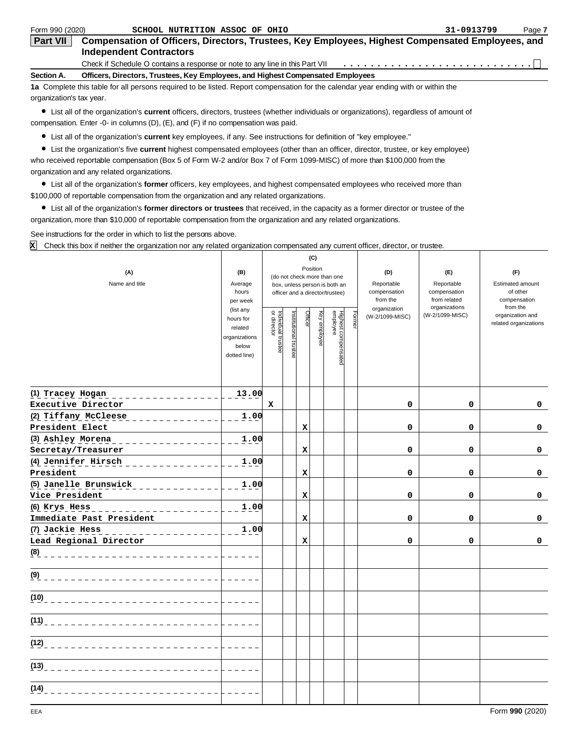| Form 990 (2020)          | SCHOOL NUTRITION ASSOC OF OHIO                                                                                                     | 31-0913799 | Page 7 |
|--------------------------|------------------------------------------------------------------------------------------------------------------------------------|------------|--------|
| <b>Part VII</b>          | Compensation of Officers, Directors, Trustees, Key Employees, Highest Compensated Employees, and<br><b>Independent Contractors</b> |            |        |
|                          | Check if Schedule O contains a response or note to any line in this Part VII                                                       |            |        |
| Section A.               | Officers, Directors, Trustees, Key Employees, and Highest Compensated Employees                                                    |            |        |
|                          | 1a Complete this table for all persons required to be listed. Report compensation for the calendar year ending with or within the  |            |        |
| organization's tax year. |                                                                                                                                    |            |        |

List all of the organization's **current** officers, directors, trustees (whether individuals or organizations), regardless of amount of compensation. Enter -0- in columns (D), (E), and (F) if no compensation was paid.

List all of the organization's **current** key employees, if any. See instructions for definition of "key employee."

List the organization's five **current** highest compensated employees (other than an officer, director, trustee, or key employee) who received reportable compensation (Box 5 of Form W-2 and/or Box 7 of Form 1099-MISC) of more than \$100,000 from the organization and any related organizations.

List all of the organization's **former** officers, key employees, and highest compensated employees who received more than \$100,000 of reportable compensation from the organization and any related organizations.

List all of the organization's **former directors or trustees** that received, in the capacity as a former director or trustee of the organization, more than \$10,000 of reportable compensation from the organization and any related organizations.

See instructions for the order in which to list the persons above.

Check this box if neither the organization nor any related organization compensated any current officer, director, or trustee. **X**

|                                                      |                      | (C)                                     |                               |             |              |                                 |        |                                 |                                  |                              |
|------------------------------------------------------|----------------------|-----------------------------------------|-------------------------------|-------------|--------------|---------------------------------|--------|---------------------------------|----------------------------------|------------------------------|
| (A)                                                  | (B)                  | Position<br>(do not check more than one |                               | (D)         | (E)          | (F)                             |        |                                 |                                  |                              |
| Name and title                                       | Average              |                                         | box, unless person is both an |             |              |                                 |        | Reportable                      | Reportable                       | Estimated amount             |
|                                                      | hours                |                                         |                               |             |              | officer and a director/trustee) |        | compensation                    | compensation                     | of other                     |
|                                                      | per week             |                                         |                               |             |              |                                 |        | from the                        | from related                     | compensation                 |
|                                                      | (list any            |                                         |                               | Officer     |              |                                 |        | organization<br>(W-2/1099-MISC) | organizations<br>(W-2/1099-MISC) | from the<br>organization and |
|                                                      | hours for<br>related |                                         |                               |             |              |                                 | Former |                                 |                                  | related organizations        |
|                                                      | organizations        |                                         |                               |             | Key employee |                                 |        |                                 |                                  |                              |
|                                                      | below                | Individual trustee<br>or director       | Institutional trustee         |             |              |                                 |        |                                 |                                  |                              |
|                                                      | dotted line)         |                                         |                               |             |              | Highest compensated<br>employee |        |                                 |                                  |                              |
|                                                      |                      |                                         |                               |             |              |                                 |        |                                 |                                  |                              |
|                                                      |                      |                                         |                               |             |              |                                 |        |                                 |                                  |                              |
| (1) Tracey Hogan __________________                  | 13.00                |                                         |                               |             |              |                                 |        |                                 |                                  |                              |
| Executive Director                                   |                      | $\mathbf x$                             |                               |             |              |                                 |        | 0                               | 0                                | 0                            |
| (2) Tiffany McCleese                                 | 1.00                 |                                         |                               |             |              |                                 |        |                                 |                                  |                              |
| President Elect                                      |                      |                                         |                               | $\mathbf x$ |              |                                 |        | 0                               | 0                                | 0                            |
| (3) Ashley Morena<br>_ _ _ _ _ _ _ _ _ _ _ _ _ _ _ _ | 1.00                 |                                         |                               |             |              |                                 |        |                                 |                                  |                              |
| Secretay/Treasurer                                   |                      |                                         |                               | $\mathbf x$ |              |                                 |        | $\mathbf 0$                     | 0                                | $\mathbf 0$                  |
| (4) Jennifer Hirsch<br>_ _ _ _ _ _ _ _ _ _ _ _ _     | 1.00                 |                                         |                               |             |              |                                 |        |                                 |                                  |                              |
| President                                            |                      |                                         |                               | X           |              |                                 |        | $\mathbf 0$                     | $\mathbf 0$                      | $\mathbf 0$                  |
| (5) Janelle Brunswick<br>$\frac{1}{2}$               | 1.00                 |                                         |                               |             |              |                                 |        |                                 |                                  |                              |
| Vice President                                       |                      |                                         |                               | $\mathbf x$ |              |                                 |        | 0                               | $\mathbf 0$                      | $\mathbf 0$                  |
| (6) Krys Hess<br>_ _ _ _ _ _ _ _ _ _ _ _ _ _ _ _ _ _ | 1.00                 |                                         |                               |             |              |                                 |        |                                 |                                  |                              |
| Immediate Past President                             |                      |                                         |                               | X           |              |                                 |        | 0                               | 0                                | 0                            |
| (7) Jackie Hess<br>. 2 2 2 2 2 2 2 2 2 2 2 2 2 2     | 1.00                 |                                         |                               |             |              |                                 |        |                                 |                                  |                              |
| Lead Regional Director                               |                      |                                         |                               | $\mathbf x$ |              |                                 |        | 0                               | 0                                | 0                            |
| (8) _____________________________                    |                      |                                         |                               |             |              |                                 |        |                                 |                                  |                              |
| (9) _____________________________                    |                      |                                         |                               |             |              |                                 |        |                                 |                                  |                              |
| $(10)$ <sub>------------</sub>                       |                      |                                         |                               |             |              |                                 |        |                                 |                                  |                              |
| $(11)$ $       -$                                    |                      |                                         |                               |             |              |                                 |        |                                 |                                  |                              |
| (12)<br>. <u>.</u>                                   |                      |                                         |                               |             |              |                                 |        |                                 |                                  |                              |
|                                                      |                      |                                         |                               |             |              |                                 |        |                                 |                                  |                              |
|                                                      |                      |                                         |                               |             |              |                                 |        |                                 |                                  |                              |
| (14)                                                 |                      |                                         |                               |             |              |                                 |        |                                 |                                  |                              |
|                                                      |                      |                                         |                               |             |              |                                 |        |                                 |                                  |                              |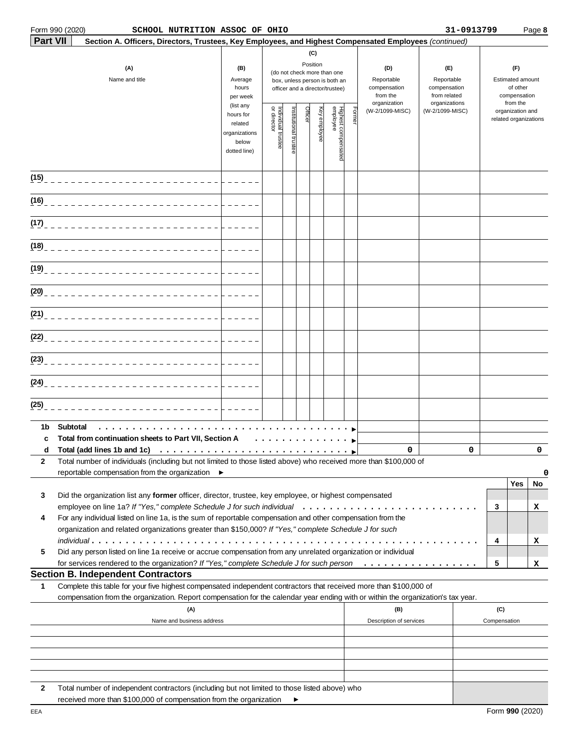# **Form 990 (2020)**

| Part VII | Section A. Officers, Directors, Trustees, Key Employees, and Highest Compensated Employees (continued)<br>(A)<br>Name and title                                                                                                                                                                                               | (B)<br>Average<br>hours<br>per week                                         |                                   |                       |         | (C)<br>Position | (do not check more than one<br>box, unless person is both an<br>officer and a director/trustee) |       | (D)<br>Reportable<br>compensation<br>from the | (E)<br>Reportable<br>compensation<br>from related |   | Estimated amount                          | (F)<br>of other<br>compensation |         |
|----------|-------------------------------------------------------------------------------------------------------------------------------------------------------------------------------------------------------------------------------------------------------------------------------------------------------------------------------|-----------------------------------------------------------------------------|-----------------------------------|-----------------------|---------|-----------------|-------------------------------------------------------------------------------------------------|-------|-----------------------------------------------|---------------------------------------------------|---|-------------------------------------------|---------------------------------|---------|
|          |                                                                                                                                                                                                                                                                                                                               | (list any<br>hours for<br>related<br>organizations<br>below<br>dotted line) | Individual trustee<br>or director | Institutional trustee | Officer | əə⁄volqmə və⊁   | Highest compensated<br>employee                                                                 | Forme | organization<br>(W-2/1099-MISC)               | organizations<br>(W-2/1099-MISC)                  |   | organization and<br>related organizations | from the                        |         |
|          | (15) _______________________________                                                                                                                                                                                                                                                                                          |                                                                             |                                   |                       |         |                 |                                                                                                 |       |                                               |                                                   |   |                                           |                                 |         |
|          |                                                                                                                                                                                                                                                                                                                               |                                                                             |                                   |                       |         |                 |                                                                                                 |       |                                               |                                                   |   |                                           |                                 |         |
|          | (17) ______________________________                                                                                                                                                                                                                                                                                           |                                                                             |                                   |                       |         |                 |                                                                                                 |       |                                               |                                                   |   |                                           |                                 |         |
|          |                                                                                                                                                                                                                                                                                                                               |                                                                             |                                   |                       |         |                 |                                                                                                 |       |                                               |                                                   |   |                                           |                                 |         |
|          |                                                                                                                                                                                                                                                                                                                               |                                                                             |                                   |                       |         |                 |                                                                                                 |       |                                               |                                                   |   |                                           |                                 |         |
|          |                                                                                                                                                                                                                                                                                                                               |                                                                             |                                   |                       |         |                 |                                                                                                 |       |                                               |                                                   |   |                                           |                                 |         |
|          |                                                                                                                                                                                                                                                                                                                               |                                                                             |                                   |                       |         |                 |                                                                                                 |       |                                               |                                                   |   |                                           |                                 |         |
|          |                                                                                                                                                                                                                                                                                                                               |                                                                             |                                   |                       |         |                 |                                                                                                 |       |                                               |                                                   |   |                                           |                                 |         |
|          |                                                                                                                                                                                                                                                                                                                               |                                                                             |                                   |                       |         |                 |                                                                                                 |       |                                               |                                                   |   |                                           |                                 |         |
| (25)     |                                                                                                                                                                                                                                                                                                                               |                                                                             |                                   |                       |         |                 |                                                                                                 |       |                                               |                                                   |   |                                           |                                 |         |
| 1b<br>c  | Subtotal<br>Total from continuation sheets to Part VII, Section A                                                                                                                                                                                                                                                             |                                                                             | .                                 |                       |         |                 |                                                                                                 |       |                                               |                                                   |   |                                           |                                 |         |
| d<br>2   | Total (add lines 1b and 1c) $\ldots \ldots \ldots \ldots \ldots \ldots \ldots \ldots \ldots$<br>Total number of individuals (including but not limited to those listed above) who received more than \$100,000 of                                                                                                             |                                                                             |                                   |                       |         |                 |                                                                                                 |       | 0                                             |                                                   | 0 |                                           |                                 | 0       |
|          | reportable compensation from the organization $\blacktriangleright$                                                                                                                                                                                                                                                           |                                                                             |                                   |                       |         |                 |                                                                                                 |       |                                               |                                                   |   |                                           |                                 | 0       |
| 3<br>4   | Did the organization list any former officer, director, trustee, key employee, or highest compensated<br>For any individual listed on line 1a, is the sum of reportable compensation and other compensation from the<br>organization and related organizations greater than \$150,000? If "Yes," complete Schedule J for such |                                                                             |                                   |                       |         |                 |                                                                                                 |       |                                               |                                                   |   | 3                                         | Yes                             | No<br>х |
| 5        | $indivial. \ldots \ldots \ldots \ldots \ldots \ldots \ldots \ldots \ldots \ldots$<br>Did any person listed on line 1a receive or accrue compensation from any unrelated organization or individual<br>for services rendered to the organization? If "Yes," complete Schedule J for such person                                |                                                                             |                                   |                       |         |                 |                                                                                                 |       |                                               |                                                   |   | 4<br>5                                    |                                 | x<br>x  |
|          | <b>Section B. Independent Contractors</b>                                                                                                                                                                                                                                                                                     |                                                                             |                                   |                       |         |                 |                                                                                                 |       |                                               |                                                   |   |                                           |                                 |         |
| 1        | Complete this table for your five highest compensated independent contractors that received more than \$100,000 of<br>compensation from the organization. Report compensation for the calendar year ending with or within the organization's tax year.                                                                        |                                                                             |                                   |                       |         |                 |                                                                                                 |       |                                               |                                                   |   |                                           |                                 |         |
|          | (A)<br>Name and business address                                                                                                                                                                                                                                                                                              |                                                                             |                                   |                       |         |                 |                                                                                                 |       | (B)<br>Description of services                |                                                   |   | (C)<br>Compensation                       |                                 |         |
|          |                                                                                                                                                                                                                                                                                                                               |                                                                             |                                   |                       |         |                 |                                                                                                 |       |                                               |                                                   |   |                                           |                                 |         |
|          |                                                                                                                                                                                                                                                                                                                               |                                                                             |                                   |                       |         |                 |                                                                                                 |       |                                               |                                                   |   |                                           |                                 |         |

**2** Total number of independent contractors (including but not limited to those listed above) who received more than \$100,000 of compensation from the organization  $\blacktriangleright$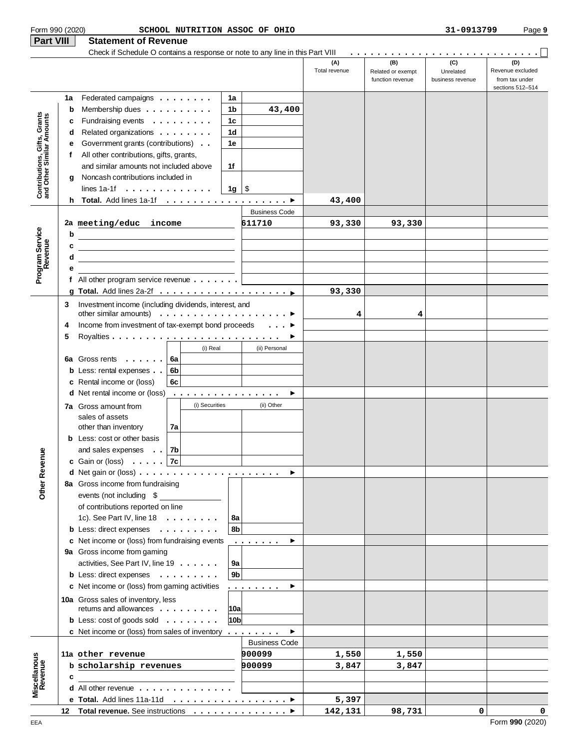| Form 990 (2020)                                           |                                                                                  |                                                                                                                         |    |                |                 | SCHOOL NUTRITION ASSOC OF OHIO                                                                                                                                                                                                                                                                                                                                                                                                                                                                                        |                      |                                              | 31-0913799                           | Page 9                                                        |
|-----------------------------------------------------------|----------------------------------------------------------------------------------|-------------------------------------------------------------------------------------------------------------------------|----|----------------|-----------------|-----------------------------------------------------------------------------------------------------------------------------------------------------------------------------------------------------------------------------------------------------------------------------------------------------------------------------------------------------------------------------------------------------------------------------------------------------------------------------------------------------------------------|----------------------|----------------------------------------------|--------------------------------------|---------------------------------------------------------------|
| Part VIII                                                 |                                                                                  | <b>Statement of Revenue</b>                                                                                             |    |                |                 |                                                                                                                                                                                                                                                                                                                                                                                                                                                                                                                       |                      |                                              |                                      |                                                               |
|                                                           |                                                                                  | Check if Schedule O contains a response or note to any line in this Part VIII                                           |    |                |                 |                                                                                                                                                                                                                                                                                                                                                                                                                                                                                                                       | (A)<br>Total revenue | (B)<br>Related or exempt<br>function revenue | (C)<br>Unrelated<br>business revenue | (D)<br>Revenue excluded<br>from tax under<br>sections 512-514 |
|                                                           | 1a                                                                               | Federated campaigns                                                                                                     |    |                | 1a              |                                                                                                                                                                                                                                                                                                                                                                                                                                                                                                                       |                      |                                              |                                      |                                                               |
|                                                           | b                                                                                | Membership dues                                                                                                         |    |                | 1b              | 43,400                                                                                                                                                                                                                                                                                                                                                                                                                                                                                                                |                      |                                              |                                      |                                                               |
| Contributions, Gifts, Grants<br>and Other Similar Amounts | c                                                                                | Fundraising events                                                                                                      |    |                | 1 <sub>c</sub>  |                                                                                                                                                                                                                                                                                                                                                                                                                                                                                                                       |                      |                                              |                                      |                                                               |
|                                                           | Related organizations<br>1d<br>d<br>Government grants (contributions)<br>1e<br>е |                                                                                                                         |    |                |                 |                                                                                                                                                                                                                                                                                                                                                                                                                                                                                                                       |                      |                                              |                                      |                                                               |
|                                                           |                                                                                  |                                                                                                                         |    |                |                 |                                                                                                                                                                                                                                                                                                                                                                                                                                                                                                                       |                      |                                              |                                      |                                                               |
|                                                           | f                                                                                | All other contributions, gifts, grants,                                                                                 |    |                |                 |                                                                                                                                                                                                                                                                                                                                                                                                                                                                                                                       |                      |                                              |                                      |                                                               |
|                                                           |                                                                                  | and similar amounts not included above                                                                                  |    |                | 1f              |                                                                                                                                                                                                                                                                                                                                                                                                                                                                                                                       |                      |                                              |                                      |                                                               |
|                                                           | a                                                                                | Noncash contributions included in                                                                                       |    |                |                 |                                                                                                                                                                                                                                                                                                                                                                                                                                                                                                                       |                      |                                              |                                      |                                                               |
|                                                           |                                                                                  | lines $1a-1f \ldots \ldots \ldots$                                                                                      |    |                | $1g \mid$ \$    |                                                                                                                                                                                                                                                                                                                                                                                                                                                                                                                       |                      |                                              |                                      |                                                               |
|                                                           | h.                                                                               | Total. Add lines 1a-1f ▶                                                                                                |    |                |                 |                                                                                                                                                                                                                                                                                                                                                                                                                                                                                                                       | 43,400               |                                              |                                      |                                                               |
|                                                           |                                                                                  |                                                                                                                         |    |                |                 | <b>Business Code</b>                                                                                                                                                                                                                                                                                                                                                                                                                                                                                                  |                      |                                              |                                      |                                                               |
|                                                           |                                                                                  | 2a meeting/educ income                                                                                                  |    |                |                 | 611710                                                                                                                                                                                                                                                                                                                                                                                                                                                                                                                | 93,330               | 93,330                                       |                                      |                                                               |
|                                                           | b                                                                                |                                                                                                                         |    |                |                 |                                                                                                                                                                                                                                                                                                                                                                                                                                                                                                                       |                      |                                              |                                      |                                                               |
|                                                           | c                                                                                |                                                                                                                         |    |                |                 |                                                                                                                                                                                                                                                                                                                                                                                                                                                                                                                       |                      |                                              |                                      |                                                               |
| Program Service<br>Revenue                                | d                                                                                |                                                                                                                         |    |                |                 |                                                                                                                                                                                                                                                                                                                                                                                                                                                                                                                       |                      |                                              |                                      |                                                               |
|                                                           | е                                                                                |                                                                                                                         |    |                |                 |                                                                                                                                                                                                                                                                                                                                                                                                                                                                                                                       |                      |                                              |                                      |                                                               |
|                                                           |                                                                                  | f All other program service revenue $\ldots \ldots$                                                                     |    |                |                 |                                                                                                                                                                                                                                                                                                                                                                                                                                                                                                                       |                      |                                              |                                      |                                                               |
|                                                           |                                                                                  |                                                                                                                         |    |                |                 |                                                                                                                                                                                                                                                                                                                                                                                                                                                                                                                       | 93,330               |                                              |                                      |                                                               |
|                                                           | 3                                                                                | Investment income (including dividends, interest, and                                                                   |    |                |                 |                                                                                                                                                                                                                                                                                                                                                                                                                                                                                                                       |                      |                                              |                                      |                                                               |
|                                                           |                                                                                  | other similar amounts) $\ldots \ldots \ldots \ldots \ldots$                                                             |    |                |                 |                                                                                                                                                                                                                                                                                                                                                                                                                                                                                                                       | 4                    | 4                                            |                                      |                                                               |
|                                                           | 4                                                                                | Income from investment of tax-exempt bond proceeds ▶                                                                    |    |                |                 |                                                                                                                                                                                                                                                                                                                                                                                                                                                                                                                       |                      |                                              |                                      |                                                               |
|                                                           | 5                                                                                |                                                                                                                         |    |                |                 |                                                                                                                                                                                                                                                                                                                                                                                                                                                                                                                       |                      |                                              |                                      |                                                               |
|                                                           |                                                                                  |                                                                                                                         |    | (i) Real       |                 | (ii) Personal                                                                                                                                                                                                                                                                                                                                                                                                                                                                                                         |                      |                                              |                                      |                                                               |
|                                                           |                                                                                  | 6a Gross rents                                                                                                          | 6a |                |                 |                                                                                                                                                                                                                                                                                                                                                                                                                                                                                                                       |                      |                                              |                                      |                                                               |
|                                                           |                                                                                  | <b>b</b> Less: rental expenses                                                                                          | 6b |                |                 |                                                                                                                                                                                                                                                                                                                                                                                                                                                                                                                       |                      |                                              |                                      |                                                               |
|                                                           |                                                                                  | c Rental income or (loss)                                                                                               | 6c |                |                 |                                                                                                                                                                                                                                                                                                                                                                                                                                                                                                                       |                      |                                              |                                      |                                                               |
|                                                           |                                                                                  | <b>d</b> Net rental income or (loss)                                                                                    |    |                |                 | ▶                                                                                                                                                                                                                                                                                                                                                                                                                                                                                                                     |                      |                                              |                                      |                                                               |
|                                                           |                                                                                  | <b>7a</b> Gross amount from                                                                                             |    | (i) Securities |                 | (ii) Other                                                                                                                                                                                                                                                                                                                                                                                                                                                                                                            |                      |                                              |                                      |                                                               |
|                                                           |                                                                                  | sales of assets                                                                                                         |    |                |                 |                                                                                                                                                                                                                                                                                                                                                                                                                                                                                                                       |                      |                                              |                                      |                                                               |
|                                                           |                                                                                  | other than inventory                                                                                                    | 7a |                |                 |                                                                                                                                                                                                                                                                                                                                                                                                                                                                                                                       |                      |                                              |                                      |                                                               |
|                                                           |                                                                                  | <b>b</b> Less: cost or other basis                                                                                      |    |                |                 |                                                                                                                                                                                                                                                                                                                                                                                                                                                                                                                       |                      |                                              |                                      |                                                               |
|                                                           |                                                                                  | and sales expenses                                                                                                      | 7b |                |                 |                                                                                                                                                                                                                                                                                                                                                                                                                                                                                                                       |                      |                                              |                                      |                                                               |
|                                                           |                                                                                  | c Gain or (loss) $\ldots$ . $7c$                                                                                        |    |                |                 |                                                                                                                                                                                                                                                                                                                                                                                                                                                                                                                       |                      |                                              |                                      |                                                               |
| Other Revenue                                             |                                                                                  |                                                                                                                         |    |                |                 | ▶                                                                                                                                                                                                                                                                                                                                                                                                                                                                                                                     |                      |                                              |                                      |                                                               |
|                                                           |                                                                                  | 8a Gross income from fundraising                                                                                        |    |                |                 |                                                                                                                                                                                                                                                                                                                                                                                                                                                                                                                       |                      |                                              |                                      |                                                               |
|                                                           |                                                                                  | events (not including \$                                                                                                |    |                |                 |                                                                                                                                                                                                                                                                                                                                                                                                                                                                                                                       |                      |                                              |                                      |                                                               |
|                                                           |                                                                                  | of contributions reported on line                                                                                       |    |                |                 |                                                                                                                                                                                                                                                                                                                                                                                                                                                                                                                       |                      |                                              |                                      |                                                               |
|                                                           |                                                                                  | 1c). See Part IV, line $18 \ldots \ldots$<br><b>b</b> Less: direct expenses $\cdot \cdot \cdot \cdot \cdot \cdot \cdot$ |    |                | 8a<br>8b        |                                                                                                                                                                                                                                                                                                                                                                                                                                                                                                                       |                      |                                              |                                      |                                                               |
|                                                           |                                                                                  |                                                                                                                         |    |                |                 |                                                                                                                                                                                                                                                                                                                                                                                                                                                                                                                       |                      |                                              |                                      |                                                               |
|                                                           |                                                                                  | c Net income or (loss) from fundraising events<br>9a Gross income from gaming                                           |    |                |                 | $\mathbf{1} \times \mathbf{1} \times \mathbf{1} \times \mathbf{1} \times \mathbf{1} \times \mathbf{1} \times \mathbf{1} \times \mathbf{1} \times \mathbf{1} \times \mathbf{1} \times \mathbf{1} \times \mathbf{1} \times \mathbf{1} \times \mathbf{1} \times \mathbf{1} \times \mathbf{1} \times \mathbf{1} \times \mathbf{1} \times \mathbf{1} \times \mathbf{1} \times \mathbf{1} \times \mathbf{1} \times \mathbf{1} \times \mathbf{1} \times \mathbf{1} \times \mathbf{1} \times \mathbf{1} \times \mathbf{$<br>▶ |                      |                                              |                                      |                                                               |
|                                                           |                                                                                  | activities, See Part IV, line 19                                                                                        |    |                | 9a              |                                                                                                                                                                                                                                                                                                                                                                                                                                                                                                                       |                      |                                              |                                      |                                                               |
|                                                           |                                                                                  | <b>b</b> Less: direct expenses                                                                                          |    |                | 9 <sub>b</sub>  |                                                                                                                                                                                                                                                                                                                                                                                                                                                                                                                       |                      |                                              |                                      |                                                               |
|                                                           |                                                                                  | c Net income or (loss) from gaming activities                                                                           |    |                |                 | ▶                                                                                                                                                                                                                                                                                                                                                                                                                                                                                                                     |                      |                                              |                                      |                                                               |
|                                                           |                                                                                  |                                                                                                                         |    |                |                 | .                                                                                                                                                                                                                                                                                                                                                                                                                                                                                                                     |                      |                                              |                                      |                                                               |
|                                                           |                                                                                  | 10a Gross sales of inventory, less<br>returns and allowances                                                            |    |                | 10a             |                                                                                                                                                                                                                                                                                                                                                                                                                                                                                                                       |                      |                                              |                                      |                                                               |
|                                                           |                                                                                  | <b>b</b> Less: $cost$ of goods sold $\ldots \ldots \ldots$                                                              |    |                | 10 <sub>b</sub> |                                                                                                                                                                                                                                                                                                                                                                                                                                                                                                                       |                      |                                              |                                      |                                                               |
|                                                           |                                                                                  | <b>c</b> Net income or (loss) from sales of inventory $\dots \dots$                                                     |    |                |                 | ▶                                                                                                                                                                                                                                                                                                                                                                                                                                                                                                                     |                      |                                              |                                      |                                                               |
|                                                           |                                                                                  |                                                                                                                         |    |                |                 | <b>Business Code</b>                                                                                                                                                                                                                                                                                                                                                                                                                                                                                                  |                      |                                              |                                      |                                                               |
|                                                           |                                                                                  | 11a other revenue                                                                                                       |    |                |                 | 900099                                                                                                                                                                                                                                                                                                                                                                                                                                                                                                                | 1,550                | 1,550                                        |                                      |                                                               |
|                                                           |                                                                                  | b scholarship revenues                                                                                                  |    |                |                 | 900099                                                                                                                                                                                                                                                                                                                                                                                                                                                                                                                | 3,847                | 3,847                                        |                                      |                                                               |
|                                                           | c                                                                                |                                                                                                                         |    |                |                 |                                                                                                                                                                                                                                                                                                                                                                                                                                                                                                                       |                      |                                              |                                      |                                                               |
| Miscellanous<br>Revenue                                   |                                                                                  | <b>d</b> All other revenue $\cdot \cdot \cdot \cdot \cdot \cdot \cdot \cdot \cdot \cdot \cdot$                          |    |                |                 |                                                                                                                                                                                                                                                                                                                                                                                                                                                                                                                       |                      |                                              |                                      |                                                               |
|                                                           |                                                                                  | e Total. Add lines 11a-11d ▶                                                                                            |    |                |                 |                                                                                                                                                                                                                                                                                                                                                                                                                                                                                                                       | 5,397                |                                              |                                      |                                                               |
|                                                           |                                                                                  | 12 Total revenue. See instructions ▶                                                                                    |    |                |                 |                                                                                                                                                                                                                                                                                                                                                                                                                                                                                                                       | 142,131              | 98,731                                       | $\circ$                              | 0                                                             |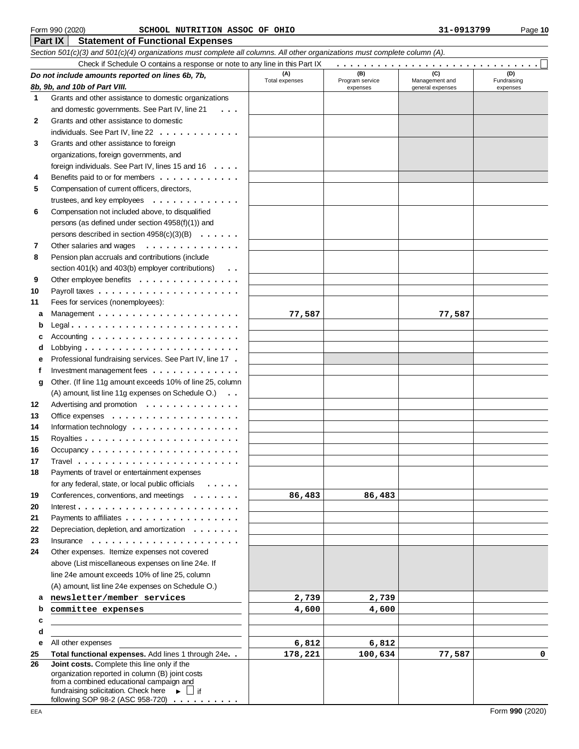#### Form 990 (2020) Page **10 SCHOOL NUTRITION ASSOC OF OHIO 31-0913799**

|    | Check if Schedule O contains a response or note to any line in this Part IX                 |                |                             |                                    |                         |
|----|---------------------------------------------------------------------------------------------|----------------|-----------------------------|------------------------------------|-------------------------|
|    | Do not include amounts reported on lines 6b, 7b,                                            | (A)            | (B)                         | (C)                                | (D)                     |
|    | 8b, 9b, and 10b of Part VIII.                                                               | Total expenses | Program service<br>expenses | Management and<br>general expenses | Fundraising<br>expenses |
| 1  | Grants and other assistance to domestic organizations                                       |                |                             |                                    |                         |
|    | and domestic governments. See Part IV, line 21<br>$\cdots$                                  |                |                             |                                    |                         |
| 2  | Grants and other assistance to domestic                                                     |                |                             |                                    |                         |
|    | individuals. See Part IV, line 22                                                           |                |                             |                                    |                         |
| 3  | Grants and other assistance to foreign                                                      |                |                             |                                    |                         |
|    | organizations, foreign governments, and                                                     |                |                             |                                    |                         |
|    | foreign individuals. See Part IV, lines 15 and 16                                           |                |                             |                                    |                         |
| 4  | Benefits paid to or for members                                                             |                |                             |                                    |                         |
| 5  | Compensation of current officers, directors,                                                |                |                             |                                    |                         |
|    | trustees, and key employees $\dots \dots \dots \dots$                                       |                |                             |                                    |                         |
| 6  | Compensation not included above, to disqualified                                            |                |                             |                                    |                         |
|    | persons (as defined under section 4958(f)(1)) and                                           |                |                             |                                    |                         |
|    | persons described in section $4958(c)(3)(B) \ldots \ldots$                                  |                |                             |                                    |                         |
| 7  | Other salaries and wages<br>.                                                               |                |                             |                                    |                         |
| 8  | Pension plan accruals and contributions (include                                            |                |                             |                                    |                         |
|    | section 401(k) and 403(b) employer contributions)<br>$\ddots$                               |                |                             |                                    |                         |
| 9  | Other employee benefits                                                                     |                |                             |                                    |                         |
| 10 |                                                                                             |                |                             |                                    |                         |
| 11 | Fees for services (nonemployees):                                                           |                |                             |                                    |                         |
| а  |                                                                                             | 77,587         |                             | 77,587                             |                         |
| b  |                                                                                             |                |                             |                                    |                         |
|    |                                                                                             |                |                             |                                    |                         |
| d  |                                                                                             |                |                             |                                    |                         |
| е  | Professional fundraising services. See Part IV, line 17.                                    |                |                             |                                    |                         |
| f  | Investment management fees $\dots\dots\dots\dots\dots$                                      |                |                             |                                    |                         |
| g  | Other. (If line 11g amount exceeds 10% of line 25, column                                   |                |                             |                                    |                         |
|    | (A) amount, list line 11g expenses on Schedule O.)                                          |                |                             |                                    |                         |
| 12 | Advertising and promotion                                                                   |                |                             |                                    |                         |
| 13 | Office expenses $\dots \dots \dots \dots \dots \dots$                                       |                |                             |                                    |                         |
| 14 | Information technology $\dots \dots \dots \dots \dots$                                      |                |                             |                                    |                         |
| 15 |                                                                                             |                |                             |                                    |                         |
| 16 | Occupancy $\ldots \ldots \ldots \ldots \ldots \ldots \ldots$                                |                |                             |                                    |                         |
| 17 |                                                                                             |                |                             |                                    |                         |
| 18 | Payments of travel or entertainment expenses                                                |                |                             |                                    |                         |
|    | for any federal, state, or local public officials                                           |                |                             |                                    |                         |
| 19 | Conferences, conventions, and meetings<br>$\cdots$                                          | 86,483         | 86,483                      |                                    |                         |
| 20 |                                                                                             |                |                             |                                    |                         |
| 21 | Payments to affiliates                                                                      |                |                             |                                    |                         |
| 22 | Depreciation, depletion, and amortization                                                   |                |                             |                                    |                         |
| 23 | Insurance<br>.                                                                              |                |                             |                                    |                         |
| 24 | Other expenses. Itemize expenses not covered                                                |                |                             |                                    |                         |
|    | above (List miscellaneous expenses on line 24e. If                                          |                |                             |                                    |                         |
|    | line 24e amount exceeds 10% of line 25, column                                              |                |                             |                                    |                         |
|    | (A) amount, list line 24e expenses on Schedule O.)                                          |                |                             |                                    |                         |
| а  | newsletter/member services                                                                  | 2,739          | 2,739                       |                                    |                         |
| b  | committee expenses                                                                          | 4,600          | 4,600                       |                                    |                         |
| c  |                                                                                             |                |                             |                                    |                         |
| d  |                                                                                             |                |                             |                                    |                         |
| е  | All other expenses                                                                          | 6,812          | 6,812                       |                                    |                         |
| 25 | Total functional expenses. Add lines 1 through 24e. .                                       | 178,221        | 100,634                     | 77,587                             | 0                       |
| 26 | Joint costs. Complete this line only if the                                                 |                |                             |                                    |                         |
|    | organization reported in column (B) joint costs<br>from a combined educational campaign and |                |                             |                                    |                         |
|    | fundraising solicitation. Check here $\longrightarrow$ $\Box$ if                            |                |                             |                                    |                         |
|    | following SOP 98-2 (ASC 958-720)                                                            |                |                             |                                    |                         |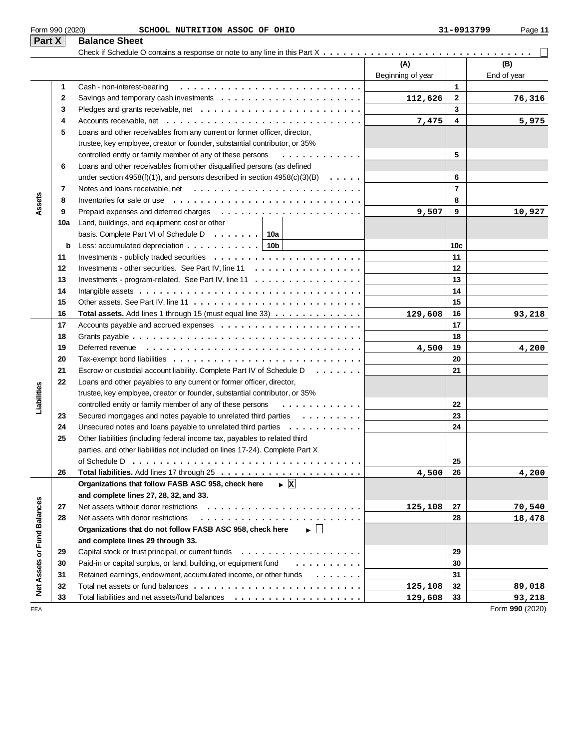|                             | Form 990 (2020) | SCHOOL NUTRITION ASSOC OF OHIO                                                                  |                          | 31-0913799      | Page 11            |
|-----------------------------|-----------------|-------------------------------------------------------------------------------------------------|--------------------------|-----------------|--------------------|
| Part X                      |                 | <b>Balance Sheet</b>                                                                            |                          |                 |                    |
|                             |                 |                                                                                                 |                          |                 |                    |
|                             |                 |                                                                                                 | (A)<br>Beginning of year |                 | (B)<br>End of year |
|                             | 1               | Cash - non-interest-bearing                                                                     |                          | 1               |                    |
|                             | 2               |                                                                                                 | 112,626                  | $\mathbf{2}$    | 76,316             |
|                             | 3               |                                                                                                 |                          | 3               |                    |
|                             | 4               |                                                                                                 | 7,475                    | 4               | 5,975              |
|                             | 5               | Loans and other receivables from any current or former officer, director,                       |                          |                 |                    |
|                             |                 | trustee, key employee, creator or founder, substantial contributor, or 35%                      |                          |                 |                    |
|                             |                 | controlled entity or family member of any of these persons<br>.                                 |                          | 5               |                    |
|                             | 6               | Loans and other receivables from other disqualified persons (as defined                         |                          |                 |                    |
|                             |                 | under section 4958(f)(1)), and persons described in section $4958(c)(3)(B) \ldots$ .            |                          | 6               |                    |
|                             | 7               |                                                                                                 |                          | $\overline{7}$  |                    |
| Assets                      | 8               | Inventories for sale or use $\ldots \ldots \ldots \ldots \ldots$                                |                          | 8               |                    |
|                             | 9               |                                                                                                 | 9,507                    | 9               | 10,927             |
|                             | 10a             | Land, buildings, and equipment: cost or other                                                   |                          |                 |                    |
|                             |                 | basis. Complete Part VI of Schedule D $\ldots \ldots$ 10a                                       |                          |                 |                    |
|                             | b               | Less: accumulated depreciation $\ldots \ldots \ldots$ .   10b                                   |                          | 10 <sub>c</sub> |                    |
|                             | 11              |                                                                                                 |                          | 11              |                    |
|                             | 12              | Investments - other securities. See Part IV, line 11                                            |                          | 12              |                    |
|                             | 13              | Investments - program-related. See Part IV, line $11 \ldots \ldots \ldots \ldots \ldots \ldots$ |                          | 13              |                    |
|                             | 14              |                                                                                                 |                          | 14              |                    |
|                             | 15              |                                                                                                 |                          | 15              |                    |
|                             | 16              | Total assets. Add lines 1 through 15 (must equal line 33)                                       | 129,608                  | 16              | 93,218             |
|                             | 17              |                                                                                                 |                          | 17              |                    |
|                             | 18              |                                                                                                 |                          | 18              |                    |
|                             | 19              |                                                                                                 | 4,500                    | 19              | 4,200              |
|                             | 20              |                                                                                                 |                          | 20              |                    |
|                             | 21              | Escrow or custodial account liability. Complete Part IV of Schedule D.                          |                          | 21              |                    |
|                             | 22              | Loans and other payables to any current or former officer, director,                            |                          |                 |                    |
| Liabilities                 |                 | trustee, key employee, creator or founder, substantial contributor, or 35%                      |                          |                 |                    |
|                             |                 | controlled entity or family member of any of these persons<br>.                                 |                          | 22              |                    |
|                             | 23              | Secured mortgages and notes payable to unrelated third parties                                  |                          | 23              |                    |
|                             | 24              | Unsecured notes and loans payable to unrelated third parties                                    |                          | 24              |                    |
|                             | 25              | Other liabilities (including federal income tax, payables to related third                      |                          |                 |                    |
|                             |                 | parties, and other liabilities not included on lines 17-24). Complete Part X                    |                          |                 |                    |
|                             |                 |                                                                                                 |                          | 25              |                    |
|                             | 26              | Organizations that follow FASB ASC 958, check here                                              | 4,500                    | 26              | 4,200              |
|                             |                 | $\triangleright$ X                                                                              |                          |                 |                    |
|                             |                 | and complete lines 27, 28, 32, and 33.<br>Net assets without donor restrictions                 |                          |                 |                    |
|                             | 27<br>28        | Net assets with donor restrictions                                                              | 125,108                  | 27<br>28        | 70,540             |
|                             |                 |                                                                                                 |                          |                 | 18,478             |
|                             |                 | Organizations that do not follow FASB ASC 958, check here<br>▶ │ │                              |                          |                 |                    |
| Net Assets or Fund Balances | 29              | and complete lines 29 through 33.                                                               |                          | 29              |                    |
|                             | 30              | Paid-in or capital surplus, or land, building, or equipment fund                                |                          | 30              |                    |
|                             | 31              | Retained earnings, endowment, accumulated income, or other funds<br>$\cdots$                    |                          | 31              |                    |
|                             | 32              |                                                                                                 | 125,108                  | 32              | 89,018             |
|                             | 22              | Total lighilities and not assets fund halances                                                  | $120$ $\epsilon$ 00      | າາ              | <b>02.210</b>      |

33 Total liabilities and net assets/fund balances  $\ldots\ldots\ldots\ldots\ldots\ldots\ldots\ldots\mid$  129,608 33

EEA Form **990** (2020)

**125,108 89,018 129,608 93,218**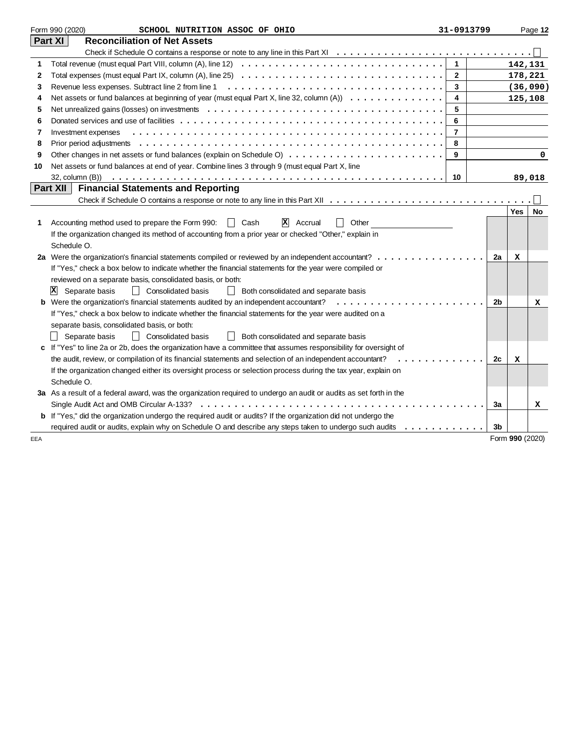|     | Form 990 (2020)<br>SCHOOL NUTRITION ASSOC OF OHIO                                                                                       | 31-0913799     |                |                 | Page 12  |
|-----|-----------------------------------------------------------------------------------------------------------------------------------------|----------------|----------------|-----------------|----------|
|     | Part XI<br><b>Reconciliation of Net Assets</b>                                                                                          |                |                |                 |          |
|     |                                                                                                                                         |                |                |                 |          |
| 1   |                                                                                                                                         | $\mathbf{1}$   |                | 142,131         |          |
| 2   | Total expenses (must equal Part IX, column (A), line 25) $\ldots \ldots \ldots \ldots \ldots \ldots \ldots \ldots \ldots \ldots \ldots$ | $\mathbf{2}$   |                |                 | 178,221  |
| 3   | Revenue less expenses. Subtract line 2 from line 1                                                                                      | 3              |                |                 | (36,090) |
| 4   | Net assets or fund balances at beginning of year (must equal Part X, line 32, column (A))                                               | 4              |                |                 | 125,108  |
| 5   |                                                                                                                                         | 5              |                |                 |          |
| 6   |                                                                                                                                         | 6              |                |                 |          |
| 7   | Investment expenses                                                                                                                     | $\overline{7}$ |                |                 |          |
| 8   |                                                                                                                                         | 8              |                |                 |          |
| 9   |                                                                                                                                         | 9              |                |                 | 0        |
| 10  | Net assets or fund balances at end of year. Combine lines 3 through 9 (must equal Part X, line                                          |                |                |                 |          |
|     |                                                                                                                                         | 10             |                |                 | 89,018   |
|     | Part XII<br><b>Financial Statements and Reporting</b>                                                                                   |                |                |                 |          |
|     |                                                                                                                                         |                |                |                 |          |
|     |                                                                                                                                         |                |                | <b>Yes</b>      | No       |
| 1   | $ \mathbf{X} $ Accrual<br>Accounting method used to prepare the Form 990:<br>$\vert \vert$ Cash<br>Other<br>$\blacksquare$              |                |                |                 |          |
|     | If the organization changed its method of accounting from a prior year or checked "Other," explain in                                   |                |                |                 |          |
|     | Schedule O.                                                                                                                             |                |                |                 |          |
|     | 2a Were the organization's financial statements compiled or reviewed by an independent accountant?                                      |                | 2a             | х               |          |
|     | If "Yes," check a box below to indicate whether the financial statements for the year were compiled or                                  |                |                |                 |          |
|     | reviewed on a separate basis, consolidated basis, or both:                                                                              |                |                |                 |          |
|     | Consolidated basis<br>$ {\bf x} $<br>Separate basis<br>$\perp$<br>Both consolidated and separate basis                                  |                |                |                 |          |
|     | <b>b</b> Were the organization's financial statements audited by an independent accountant?                                             |                | 2b             |                 | x        |
|     | If "Yes," check a box below to indicate whether the financial statements for the year were audited on a                                 |                |                |                 |          |
|     | separate basis, consolidated basis, or both:                                                                                            |                |                |                 |          |
|     | Separate basis<br>$\perp$<br><b>Consolidated basis</b><br>Both consolidated and separate basis<br>$\perp$                               |                |                |                 |          |
|     | c If "Yes" to line 2a or 2b, does the organization have a committee that assumes responsibility for oversight of                        |                |                |                 |          |
|     | the audit, review, or compilation of its financial statements and selection of an independent accountant?<br>.                          |                | 2c             | x               |          |
|     | If the organization changed either its oversight process or selection process during the tax year, explain on                           |                |                |                 |          |
|     | Schedule O.                                                                                                                             |                |                |                 |          |
|     | 3a As a result of a federal award, was the organization required to undergo an audit or audits as set forth in the                      |                |                |                 |          |
|     | Single Audit Act and OMB Circular A-133?                                                                                                |                | 3a             |                 | х        |
|     | b If "Yes," did the organization undergo the required audit or audits? If the organization did not undergo the                          |                |                |                 |          |
|     | required audit or audits, explain why on Schedule O and describe any steps taken to undergo such audits<br>.                            |                | 3 <sub>b</sub> |                 |          |
| EEA |                                                                                                                                         |                |                | Form 990 (2020) |          |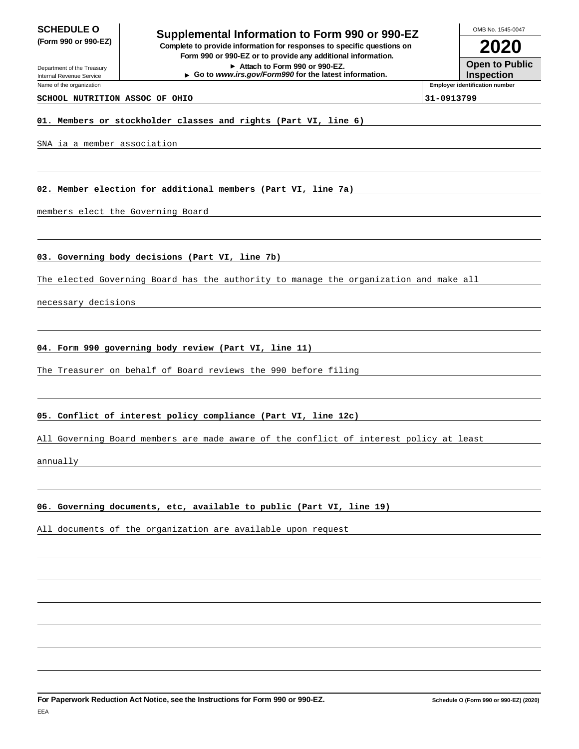# **SCHEDULE O**<br> **Supplemental Information to Form 990 or 990-EZ**<br> **Supplemental Information to Form 990 or 990-EZ (Form 990 or 990-EZ) Complete to provide information for responses to specific questions on Form 990 or 990-EZ or to provide any additional information.**

**Attach to Form 990 or 990-EZ.**

**Go to www.irs.gov/Form990 for the latest information.**

OMB No. 1545-0047

**Open to Public Inspection**

**Employer identification number**

**2020**

Department of the Treasury Internal Revenue Service

Name of the organization

**SCHOOL NUTRITION ASSOC OF OHIO 31-0913799**

**01. Members or stockholder classes and rights (Part VI, line 6)**

#### SNA ia a member association

**02. Member election for additional members (Part VI, line 7a)**

members elect the Governing Board

**03. Governing body decisions (Part VI, line 7b)**

The elected Governing Board has the authority to manage the organization and make all

necessary decisions

#### **04. Form 990 governing body review (Part VI, line 11)**

The Treasurer on behalf of Board reviews the 990 before filing

#### **05. Conflict of interest policy compliance (Part VI, line 12c)**

All Governing Board members are made aware of the conflict of interest policy at least

annually

## **06. Governing documents, etc, available to public (Part VI, line 19)**

All documents of the organization are available upon request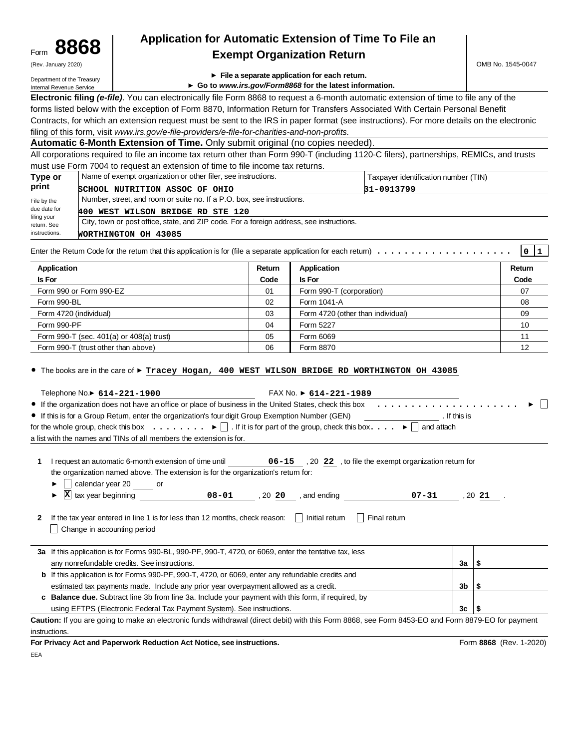| Form | 8868                |  |
|------|---------------------|--|
|      | (Rev. January 2020) |  |

# **8868 Application for Automatic Extension of Time To File an Exempt Organization Return**

Department of the Treasury Internal Revenue Service

- **File a separate application for each return.**
- **Go to www.irs.gov/Form8868 for the latest information.**

**Electronic filing (e-file)**. You can electronically file Form 8868 to request a 6-month automatic extension of time to file any of the forms listed below with the exception of Form 8870, Information Return for Transfers Associated With Certain Personal Benefit Contracts, for which an extension request must be sent to the IRS in paper format (see instructions). For more details on the electronic filing of this form, visit www.irs.gov/e-file-providers/e-file-for-charities-and-non-profits.

**Automatic 6-Month Extension of Time.** Only submit original (no copies needed).

All corporations required to file an income tax return other than Form 990-T (including 1120-C filers), partnerships, REMICs, and trusts must use Form 7004 to request an extension of time to file income tax returns.

| Type or                    | Name of exempt organization or other filer, see instructions.                            | Taxpayer identification number (TIN) |  |  |  |
|----------------------------|------------------------------------------------------------------------------------------|--------------------------------------|--|--|--|
| print                      | SCHOOL NUTRITION ASSOC OF OHIO                                                           | 31-0913799                           |  |  |  |
| File by the                | Number, street, and room or suite no. If a P.O. box, see instructions.                   |                                      |  |  |  |
| due date for               | 400 WEST WILSON BRIDGE RD STE 120                                                        |                                      |  |  |  |
| filing your<br>return. See | City, town or post office, state, and ZIP code. For a foreign address, see instructions. |                                      |  |  |  |
| instructions.              | WORTHINGTON OH 43085                                                                     |                                      |  |  |  |

Enter the Return Code for the return that this application is for (file a separate application for each return) .................... **0 1**

| Application                              | Return | Application                       | Return |
|------------------------------------------|--------|-----------------------------------|--------|
| <b>Is For</b>                            | Code   | <b>Is For</b>                     | Code   |
| Form 990 or Form 990-EZ                  | 01     | Form 990-T (corporation)          | 07     |
| Form 990-BL                              | 02     | Form 1041-A                       | 08     |
| Form 4720 (individual)                   | 03     | Form 4720 (other than individual) | 09     |
| Form 990-PF                              | 04     | Form 5227                         | 10     |
| Form 990-T (sec. 401(a) or 408(a) trust) | 05     | Form 6069                         | 11     |
| Form 990-T (trust other than above)      | 06     | Form 8870                         | 12     |

The books are in the care of **Tracey Hogan, 400 WEST WILSON BRIDGE RD WORTHINGTON OH 43085**

| Telephone No.▶ 614-221-1900<br>FAX No. $\triangleright$ 614-221-1989                                                                                                                       |              |                         |
|--------------------------------------------------------------------------------------------------------------------------------------------------------------------------------------------|--------------|-------------------------|
|                                                                                                                                                                                            |              |                         |
| ● If this is for a Group Retum, enter the organization's four digit Group Exemption Number (GEN)                                                                                           | . If this is |                         |
| for the whole group, check this box $\ldots \ldots$ $\blacktriangleright$     if it is for part of the group, check this box. $\ldots$ $\blacktriangleright$   and attach                  |              |                         |
| a list with the names and TINs of all members the extension is for.                                                                                                                        |              |                         |
| the organization named above. The extension is for the organization's retum for:<br>calendar year 20 ______ or<br>►<br>X tax year beginning 1.1 08-01 08-01 08-01 07-31 07-31 020 31<br>Þ. |              |                         |
| If the tax year entered in line 1 is for less than 12 months, check reason: $\ $ Initial retum<br>Final retum<br>$\perp$<br>Change in accounting period                                    |              |                         |
| 3a If this application is for Forms 990-BL, 990-PF, 990-T, 4720, or 6069, enter the tentative tax, less                                                                                    |              |                         |
| any nonrefundable credits. See instructions.                                                                                                                                               | $3a \mid $$  |                         |
| <b>b</b> If this application is for Forms 990-PF, 990-T, 4720, or 6069, enter any refundable credits and                                                                                   |              |                         |
| estimated tax payments made. Include any prior year overpayment allowed as a credit.                                                                                                       | 3b I         | ∣\$                     |
| c Balance due. Subtract line 3b from line 3a. Include your payment with this form, if required, by                                                                                         |              |                         |
| using EFTPS (Electronic Federal Tax Payment System). See instructions.                                                                                                                     | 3c           | \$                      |
| Caution: If you are going to make an electronic funds withdrawal (direct debit) with this Form 8868, see Form 8453-EO and Form 8879-EO for payment                                         |              |                         |
| instructions.                                                                                                                                                                              |              |                         |
| For Privacy Act and Paperwork Reduction Act Notice, see instructions.                                                                                                                      |              | Form 8868 (Rev. 1-2020) |

EEA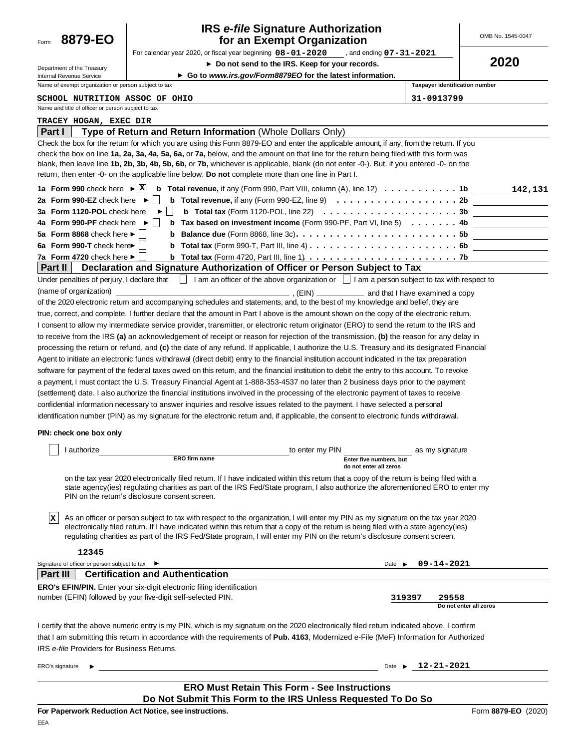| 8879-EO<br>Form                                                                               | <b>IRS e-file Signature Authorization</b><br>for an Exempt Organization                                                                                                                                                                                                                                                                                                                                                                                                                                                         |                                                         | OMB No. 1545-0047               |
|-----------------------------------------------------------------------------------------------|---------------------------------------------------------------------------------------------------------------------------------------------------------------------------------------------------------------------------------------------------------------------------------------------------------------------------------------------------------------------------------------------------------------------------------------------------------------------------------------------------------------------------------|---------------------------------------------------------|---------------------------------|
|                                                                                               | For calendar year 2020, or fiscal year beginning 08-01-2020 , and ending 07-31-2021                                                                                                                                                                                                                                                                                                                                                                                                                                             |                                                         | 2020                            |
| Department of the Treasury                                                                    | ▶ Do not send to the IRS. Keep for your records.<br>► Go to www.irs.gov/Form8879EO for the latest information.                                                                                                                                                                                                                                                                                                                                                                                                                  |                                                         |                                 |
| Internal Revenue Service<br>Name of exempt organization or person subject to tax              |                                                                                                                                                                                                                                                                                                                                                                                                                                                                                                                                 |                                                         | Taxpayer identification number  |
| <b>SCHOOL NUTRITION ASSOC OF OHIO</b>                                                         |                                                                                                                                                                                                                                                                                                                                                                                                                                                                                                                                 | 31-0913799                                              |                                 |
| Name and title of officer or person subject to tax                                            |                                                                                                                                                                                                                                                                                                                                                                                                                                                                                                                                 |                                                         |                                 |
| <b>TRACEY HOGAN, EXEC DIR</b>                                                                 |                                                                                                                                                                                                                                                                                                                                                                                                                                                                                                                                 |                                                         |                                 |
| <b>Part I</b>                                                                                 | Type of Return and Return Information (Whole Dollars Only)                                                                                                                                                                                                                                                                                                                                                                                                                                                                      |                                                         |                                 |
|                                                                                               | Check the box for the retum for which you are using this Form 8879-EO and enter the applicable amount, if any, from the retum. If you<br>check the box on line 1a, 2a, 3a, 4a, 5a, 6a, or 7a, below, and the amount on that line for the return being filed with this form was<br>blank, then leave line 1b, 2b, 3b, 4b, 5b, 6b, or 7b, whichever is applicable, blank (do not enter -0-). But, if you entered -0- on the<br>return, then enter -0- on the applicable line below. Do not complete more than one line in Part I. |                                                         |                                 |
| 1a Form 990 check here $\triangleright$ $ X $                                                 | <b>b</b> Total revenue, if any (Form 990, Part VIII, column (A), line 12) $\dots \dots \dots$                                                                                                                                                                                                                                                                                                                                                                                                                                   |                                                         | 142,131                         |
| 2a Form 990-EZ check here $\blacktriangleright$                                               | <b>b</b> Total revenue, if any (Form 990-EZ, line 9) $\ldots \ldots \ldots \ldots \ldots \ldots$                                                                                                                                                                                                                                                                                                                                                                                                                                |                                                         |                                 |
| 3a Form 1120-POL check here<br>4a Form 990-PF check here                                      | <b>b</b> Total tax (Form 1120-POL, line 22) $\ldots \ldots \ldots \ldots \ldots \ldots \ldots \ldots 3b$<br>Tax based on investment income (Form 990-PF, Part VI, line 5) $\dots \dots$<br>$\rightarrow$<br>b                                                                                                                                                                                                                                                                                                                   |                                                         |                                 |
| 5a Form 8868 check here ►                                                                     | b                                                                                                                                                                                                                                                                                                                                                                                                                                                                                                                               |                                                         |                                 |
| 6a Form 990-T check here                                                                      | b                                                                                                                                                                                                                                                                                                                                                                                                                                                                                                                               |                                                         |                                 |
| 7a Form 4720 check here ►                                                                     | <b>b</b> Total tax (Form 4720, Part III, line 1) $\ldots \ldots \ldots \ldots \ldots \ldots \ldots \ldots \ldots$                                                                                                                                                                                                                                                                                                                                                                                                               |                                                         |                                 |
| ∣ Part II ∣                                                                                   | Declaration and Signature Authorization of Officer or Person Subject to Tax                                                                                                                                                                                                                                                                                                                                                                                                                                                     |                                                         |                                 |
| Under penalties of perjury, I declare that                                                    | $\Box$ I am an officer of the above organization or $\Box$ I am a person subject to tax with respect to                                                                                                                                                                                                                                                                                                                                                                                                                         |                                                         |                                 |
| (name of organization)                                                                        | of the 2020 electronic return and accompanying schedules and statements, and, to the best of my knowledge and belief, they are                                                                                                                                                                                                                                                                                                                                                                                                  | $(ElN)$ $\qquad \qquad$ and that I have examined a copy |                                 |
|                                                                                               | true, correct, and complete. I further declare that the amount in Part I above is the amount shown on the copy of the electronic retum.                                                                                                                                                                                                                                                                                                                                                                                         |                                                         |                                 |
|                                                                                               | I consent to allow my intermediate service provider, transmitter, or electronic retum originator (ERO) to send the retum to the IRS and                                                                                                                                                                                                                                                                                                                                                                                         |                                                         |                                 |
|                                                                                               | to receive from the IRS (a) an acknowledgement of receipt or reason for rejection of the transmission, (b) the reason for any delay in                                                                                                                                                                                                                                                                                                                                                                                          |                                                         |                                 |
|                                                                                               |                                                                                                                                                                                                                                                                                                                                                                                                                                                                                                                                 |                                                         |                                 |
|                                                                                               |                                                                                                                                                                                                                                                                                                                                                                                                                                                                                                                                 |                                                         |                                 |
|                                                                                               | processing the return or refund, and (c) the date of any refund. If applicable, I authorize the U.S. Treasury and its designated Financial                                                                                                                                                                                                                                                                                                                                                                                      |                                                         |                                 |
|                                                                                               | Agent to initiate an electronic funds withdrawal (direct debit) entry to the financial institution account indicated in the tax preparation                                                                                                                                                                                                                                                                                                                                                                                     |                                                         |                                 |
|                                                                                               | software for payment of the federal taxes owed on this retum, and the financial institution to debit the entry to this account. To revoke                                                                                                                                                                                                                                                                                                                                                                                       |                                                         |                                 |
|                                                                                               | a payment, I must contact the U.S. Treasury Financial Agent at 1-888-353-4537 no later than 2 business days prior to the payment                                                                                                                                                                                                                                                                                                                                                                                                |                                                         |                                 |
|                                                                                               | (settlement) date. I also authorize the financial institutions involved in the processing of the electronic payment of taxes to receive<br>confidential information necessary to answer inquiries and resolve issues related to the payment. I have selected a personal                                                                                                                                                                                                                                                         |                                                         |                                 |
|                                                                                               | identification number (PIN) as my signature for the electronic retum and, if applicable, the consent to electronic funds withdrawal.                                                                                                                                                                                                                                                                                                                                                                                            |                                                         |                                 |
| PIN: check one box only                                                                       |                                                                                                                                                                                                                                                                                                                                                                                                                                                                                                                                 |                                                         |                                 |
|                                                                                               |                                                                                                                                                                                                                                                                                                                                                                                                                                                                                                                                 |                                                         |                                 |
| I authorize                                                                                   | to enter my PIN<br>ERO firm name                                                                                                                                                                                                                                                                                                                                                                                                                                                                                                | Enter five numbers, but                                 | as my signature                 |
|                                                                                               |                                                                                                                                                                                                                                                                                                                                                                                                                                                                                                                                 | do not enter all zeros                                  |                                 |
|                                                                                               | on the tax year 2020 electronically filed retum. If I have indicated within this retum that a copy of the retum is being filed with a<br>state agency(ies) regulating charities as part of the IRS Fed/State program, I also authorize the aforementioned ERO to enter my<br>PIN on the return's disclosure consent screen.                                                                                                                                                                                                     |                                                         |                                 |
| ΙX.                                                                                           | As an officer or person subject to tax with respect to the organization, I will enter my PIN as my signature on the tax year 2020<br>electronically filed retum. If I have indicated within this retum that a copy of the retum is being filed with a state agency(ies)<br>regulating charities as part of the IRS Fed/State program, I will enter my PIN on the retum's disclosure consent screen.                                                                                                                             |                                                         |                                 |
| 12345                                                                                         |                                                                                                                                                                                                                                                                                                                                                                                                                                                                                                                                 |                                                         |                                 |
| <b>Part III</b>                                                                               |                                                                                                                                                                                                                                                                                                                                                                                                                                                                                                                                 | Date $\blacktriangleright$                              | 09-14-2021                      |
|                                                                                               | <b>Certification and Authentication</b>                                                                                                                                                                                                                                                                                                                                                                                                                                                                                         |                                                         |                                 |
|                                                                                               | <b>ERO's EFIN/PIN.</b> Enter your six-digit electronic filing identification<br>number (EFIN) followed by your five-digit self-selected PIN.                                                                                                                                                                                                                                                                                                                                                                                    | 319397                                                  | 29558<br>Do not enter all zeros |
| Signature of officer or person subject to tax ▶<br>IRS e-file Providers for Business Returns. | I certify that the above numeric entry is my PIN, which is my signature on the 2020 electronically filed retum indicated above. I confirm<br>that I am submitting this return in accordance with the requirements of Pub. 4163, Modernized e-File (MeF) Information for Authorized                                                                                                                                                                                                                                              |                                                         |                                 |
| ERO's signature                                                                               |                                                                                                                                                                                                                                                                                                                                                                                                                                                                                                                                 | Date $\blacktriangleright$                              | 12-21-2021                      |